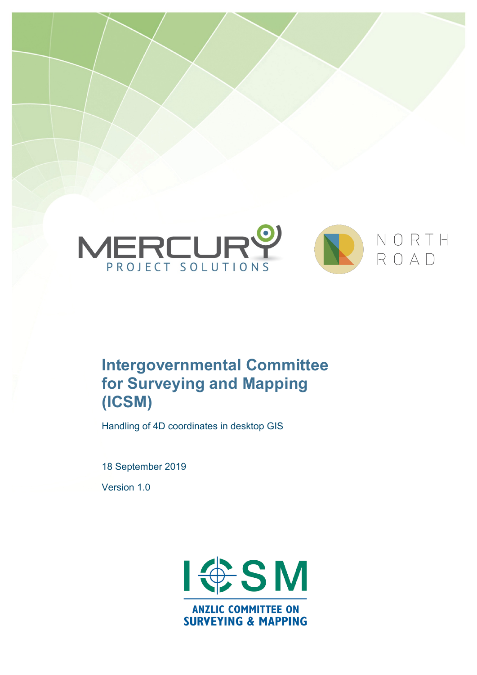

# **Intergovernmental Committee for Surveying and Mapping (ICSM)**

Handling of 4D coordinates in desktop GIS

18 September 2019

Version 1.0

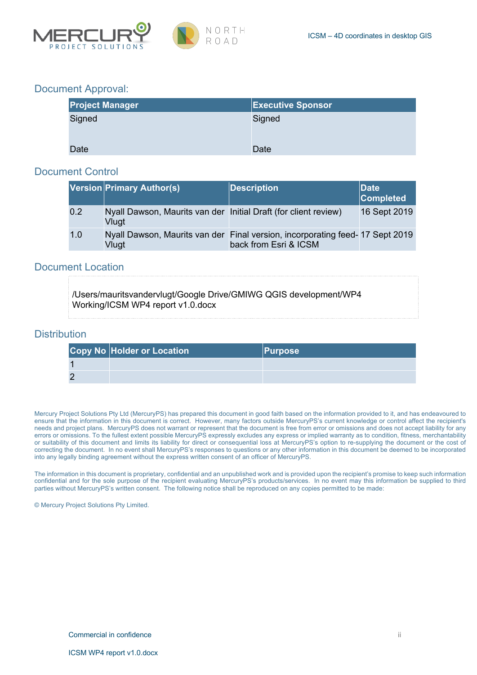

### Document Approval:

| <b>Project Manager</b> | <b>Executive Sponsor</b> |
|------------------------|--------------------------|
| Signed                 | Signed                   |
|                        |                          |
| Date                   | Date                     |

#### Document Control

|     | Version Primary Author(s)                                                | <b>Description</b>                                                                                    | Date<br><b>Completed</b> |
|-----|--------------------------------------------------------------------------|-------------------------------------------------------------------------------------------------------|--------------------------|
| 0.2 | Nyall Dawson, Maurits van der Initial Draft (for client review)<br>Vlugt |                                                                                                       | 16 Sept 2019             |
| 1.0 | Vlugt                                                                    | Nyall Dawson, Maurits van der Final version, incorporating feed-17 Sept 2019<br>back from Esri & ICSM |                          |

#### Document Location

/Users/mauritsvandervlugt/Google Drive/GMIWG QGIS development/WP4 Working/ICSM WP4 report v1.0.docx

### **Distribution**

| <b>Copy No Holder or Location</b> | <b>Purpose</b> |
|-----------------------------------|----------------|
|                                   |                |
|                                   |                |

Mercury Project Solutions Pty Ltd (MercuryPS) has prepared this document in good faith based on the information provided to it, and has endeavoured to ensure that the information in this document is correct. However, many factors outside MercuryPS's current knowledge or control affect the recipient's needs and project plans. MercuryPS does not warrant or represent that the document is free from error or omissions and does not accept liability for any errors or omissions. To the fullest extent possible MercuryPS expressly excludes any express or implied warranty as to condition, fitness, merchantability or suitability of this document and limits its liability for direct or consequential loss at MercuryPS's option to re-supplying the document or the cost of correcting the document. In no event shall MercuryPS's responses to questions or any other information in this document be deemed to be incorporated into any legally binding agreement without the express written consent of an officer of MercuryPS.

The information in this document is proprietary, confidential and an unpublished work and is provided upon the recipient's promise to keep such information confidential and for the sole purpose of the recipient evaluating MercuryPS's products/services. In no event may this information be supplied to third parties without MercuryPS's written consent. The following notice shall be reproduced on any copies permitted to be made:

© Mercury Project Solutions Pty Limited.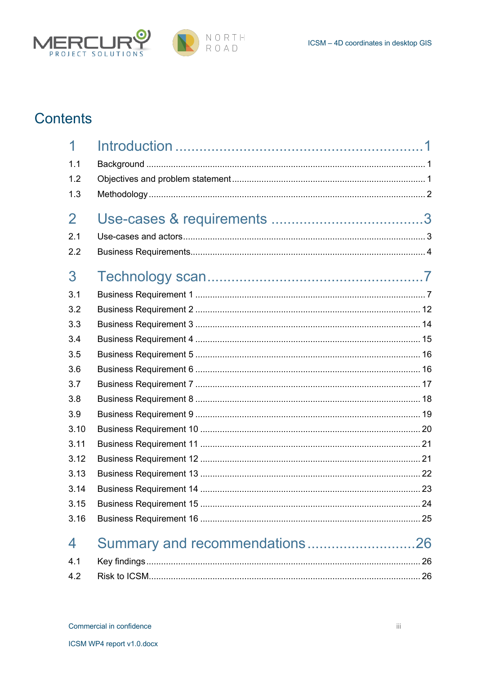



# **Contents**

| 1              |                               |  |
|----------------|-------------------------------|--|
| 1.1            |                               |  |
| 1.2            |                               |  |
| 1.3            |                               |  |
| $\overline{2}$ |                               |  |
| 2.1            |                               |  |
| 2.2            |                               |  |
| 3              |                               |  |
| 3.1            |                               |  |
| 3.2            |                               |  |
| 3.3            |                               |  |
| 3.4            |                               |  |
| 3.5            |                               |  |
| 3.6            |                               |  |
| 3.7            |                               |  |
| 3.8            |                               |  |
| 3.9            |                               |  |
| 3.10           |                               |  |
| 3.11           |                               |  |
| 3.12           |                               |  |
| 3.13           |                               |  |
| 3.14           |                               |  |
| 3.15           |                               |  |
| 3.16           |                               |  |
| 4              | Summary and recommendations26 |  |
| 4.1            |                               |  |
| 4.2            |                               |  |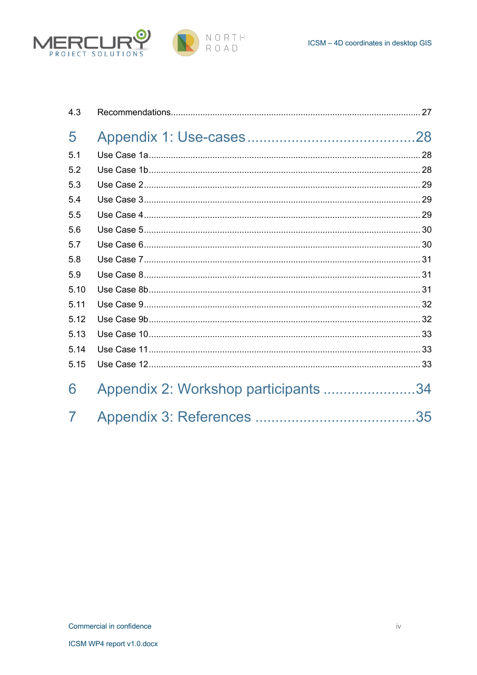



| 4.3  |                                      |  |
|------|--------------------------------------|--|
| 5    |                                      |  |
| 5.1  |                                      |  |
| 5.2  |                                      |  |
| 5.3  |                                      |  |
| 5.4  |                                      |  |
| 5.5  |                                      |  |
| 5.6  |                                      |  |
| 5.7  |                                      |  |
| 5.8  |                                      |  |
| 5.9  |                                      |  |
| 5.10 |                                      |  |
| 5.11 |                                      |  |
| 5.12 |                                      |  |
| 5.13 |                                      |  |
| 5.14 |                                      |  |
| 5.15 |                                      |  |
| 6    | Appendix 2: Workshop participants 34 |  |
| 7    |                                      |  |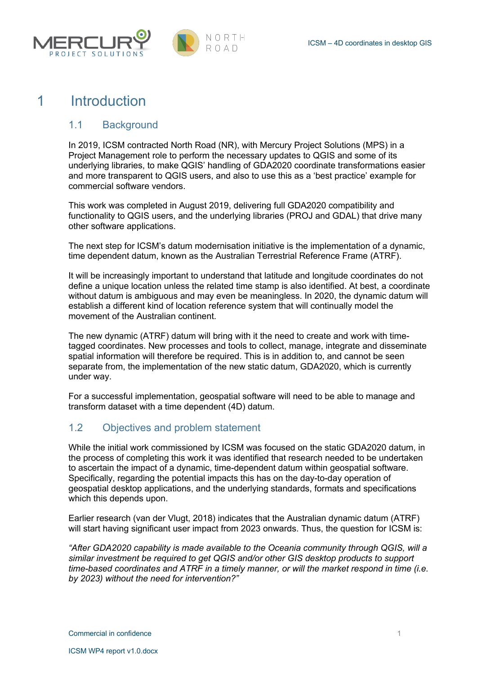



## 1 Introduction

## 1.1 Background

In 2019, ICSM contracted North Road (NR), with Mercury Project Solutions (MPS) in a Project Management role to perform the necessary updates to QGIS and some of its underlying libraries, to make QGIS' handling of GDA2020 coordinate transformations easier and more transparent to QGIS users, and also to use this as a 'best practice' example for commercial software vendors.

This work was completed in August 2019, delivering full GDA2020 compatibility and functionality to QGIS users, and the underlying libraries (PROJ and GDAL) that drive many other software applications.

The next step for ICSM's datum modernisation initiative is the implementation of a dynamic, time dependent datum, known as the Australian Terrestrial Reference Frame (ATRF).

It will be increasingly important to understand that latitude and longitude coordinates do not define a unique location unless the related time stamp is also identified. At best, a coordinate without datum is ambiguous and may even be meaningless. In 2020, the dynamic datum will establish a different kind of location reference system that will continually model the movement of the Australian continent.

The new dynamic (ATRF) datum will bring with it the need to create and work with timetagged coordinates. New processes and tools to collect, manage, integrate and disseminate spatial information will therefore be required. This is in addition to, and cannot be seen separate from, the implementation of the new static datum, GDA2020, which is currently under way.

For a successful implementation, geospatial software will need to be able to manage and transform dataset with a time dependent (4D) datum.

## 1.2 Objectives and problem statement

While the initial work commissioned by ICSM was focused on the static GDA2020 datum, in the process of completing this work it was identified that research needed to be undertaken to ascertain the impact of a dynamic, time-dependent datum within geospatial software. Specifically, regarding the potential impacts this has on the day-to-day operation of geospatial desktop applications, and the underlying standards, formats and specifications which this depends upon.

Earlier research (van der Vlugt, 2018) indicates that the Australian dynamic datum (ATRF) will start having significant user impact from 2023 onwards. Thus, the question for ICSM is:

*"After GDA2020 capability is made available to the Oceania community through QGIS, will a similar investment be required to get QGIS and/or other GIS desktop products to support time-based coordinates and ATRF in a timely manner, or will the market respond in time (i.e. by 2023) without the need for intervention?"*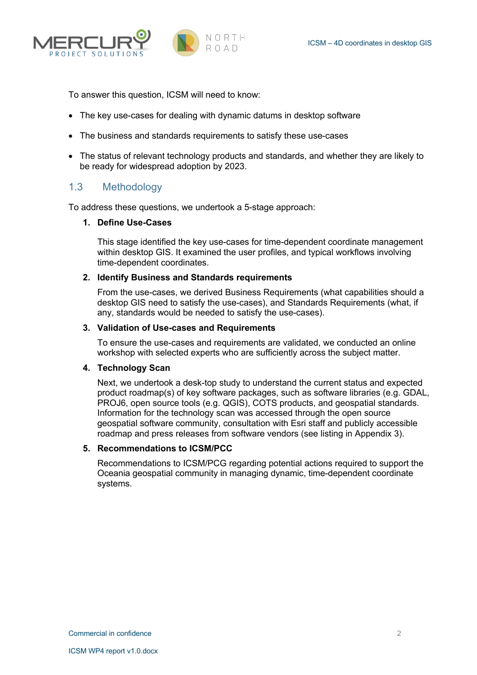



To answer this question, ICSM will need to know:

- The key use-cases for dealing with dynamic datums in desktop software
- The business and standards requirements to satisfy these use-cases
- The status of relevant technology products and standards, and whether they are likely to be ready for widespread adoption by 2023.

#### 1.3 Methodology

To address these questions, we undertook a 5-stage approach:

#### **1. Define Use-Cases**

This stage identified the key use-cases for time-dependent coordinate management within desktop GIS. It examined the user profiles, and typical workflows involving time-dependent coordinates.

#### **2. Identify Business and Standards requirements**

From the use-cases, we derived Business Requirements (what capabilities should a desktop GIS need to satisfy the use-cases), and Standards Requirements (what, if any, standards would be needed to satisfy the use-cases).

#### **3. Validation of Use-cases and Requirements**

To ensure the use-cases and requirements are validated, we conducted an online workshop with selected experts who are sufficiently across the subject matter.

#### **4. Technology Scan**

Next, we undertook a desk-top study to understand the current status and expected product roadmap(s) of key software packages, such as software libraries (e.g. GDAL, PROJ6, open source tools (e.g. QGIS), COTS products, and geospatial standards. Information for the technology scan was accessed through the open source geospatial software community, consultation with Esri staff and publicly accessible roadmap and press releases from software vendors (see listing in Appendix 3).

#### **5. Recommendations to ICSM/PCC**

Recommendations to ICSM/PCG regarding potential actions required to support the Oceania geospatial community in managing dynamic, time-dependent coordinate systems.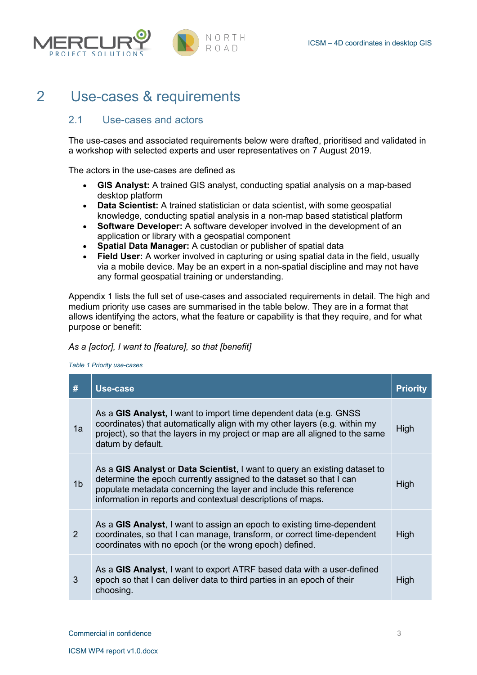



## 2 Use-cases & requirements

## 2.1 Use-cases and actors

The use-cases and associated requirements below were drafted, prioritised and validated in a workshop with selected experts and user representatives on 7 August 2019.

The actors in the use-cases are defined as

- **GIS Analyst:** A trained GIS analyst, conducting spatial analysis on a map-based desktop platform
- **Data Scientist:** A trained statistician or data scientist, with some geospatial knowledge, conducting spatial analysis in a non-map based statistical platform
- **Software Developer:** A software developer involved in the development of an application or library with a geospatial component
- **Spatial Data Manager:** A custodian or publisher of spatial data
- **Field User:** A worker involved in capturing or using spatial data in the field, usually via a mobile device. May be an expert in a non-spatial discipline and may not have any formal geospatial training or understanding.

Appendix 1 lists the full set of use-cases and associated requirements in detail. The high and medium priority use cases are summarised in the table below. They are in a format that allows identifying the actors, what the feature or capability is that they require, and for what purpose or benefit:

#### *As a [actor], I want to [feature], so that [benefit]*

*Table 1 Priority use-cases*

| #              | Use-case                                                                                                                                                                                                                                                                              | <b>Priority</b> |
|----------------|---------------------------------------------------------------------------------------------------------------------------------------------------------------------------------------------------------------------------------------------------------------------------------------|-----------------|
| 1a             | As a GIS Analyst, I want to import time dependent data (e.g. GNSS)<br>coordinates) that automatically align with my other layers (e.g. within my<br>project), so that the layers in my project or map are all aligned to the same<br>datum by default.                                | High            |
| 1 <sub>b</sub> | As a GIS Analyst or Data Scientist, I want to query an existing dataset to<br>determine the epoch currently assigned to the dataset so that I can<br>populate metadata concerning the layer and include this reference<br>information in reports and contextual descriptions of maps. | High            |
| $\mathcal{P}$  | As a GIS Analyst, I want to assign an epoch to existing time-dependent<br>coordinates, so that I can manage, transform, or correct time-dependent<br>coordinates with no epoch (or the wrong epoch) defined.                                                                          | High            |
| 3              | As a GIS Analyst, I want to export ATRF based data with a user-defined<br>epoch so that I can deliver data to third parties in an epoch of their<br>choosing.                                                                                                                         | High            |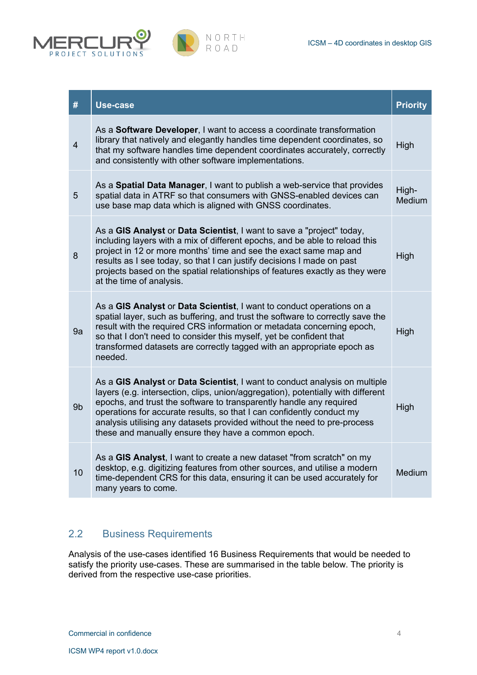



| #              | Use-case                                                                                                                                                                                                                                                                                                                                                                                                                                          | <b>Priority</b> |
|----------------|---------------------------------------------------------------------------------------------------------------------------------------------------------------------------------------------------------------------------------------------------------------------------------------------------------------------------------------------------------------------------------------------------------------------------------------------------|-----------------|
| $\overline{4}$ | As a Software Developer, I want to access a coordinate transformation<br>library that natively and elegantly handles time dependent coordinates, so<br>that my software handles time dependent coordinates accurately, correctly<br>and consistently with other software implementations.                                                                                                                                                         | High            |
| 5              | As a Spatial Data Manager, I want to publish a web-service that provides<br>spatial data in ATRF so that consumers with GNSS-enabled devices can<br>use base map data which is aligned with GNSS coordinates.                                                                                                                                                                                                                                     |                 |
| 8              | As a GIS Analyst or Data Scientist, I want to save a "project" today,<br>including layers with a mix of different epochs, and be able to reload this<br>project in 12 or more months' time and see the exact same map and<br>results as I see today, so that I can justify decisions I made on past<br>projects based on the spatial relationships of features exactly as they were<br>at the time of analysis.                                   | High            |
| 9a             | As a GIS Analyst or Data Scientist, I want to conduct operations on a<br>spatial layer, such as buffering, and trust the software to correctly save the<br>result with the required CRS information or metadata concerning epoch,<br>so that I don't need to consider this myself, yet be confident that<br>transformed datasets are correctly tagged with an appropriate epoch as<br>needed.                                                     | High            |
| 9b             | As a GIS Analyst or Data Scientist, I want to conduct analysis on multiple<br>layers (e.g. intersection, clips, union/aggregation), potentially with different<br>epochs, and trust the software to transparently handle any required<br>operations for accurate results, so that I can confidently conduct my<br>analysis utilising any datasets provided without the need to pre-process<br>these and manually ensure they have a common epoch. | High            |
| 10             | As a GIS Analyst, I want to create a new dataset "from scratch" on my<br>desktop, e.g. digitizing features from other sources, and utilise a modern<br>time-dependent CRS for this data, ensuring it can be used accurately for<br>many years to come.                                                                                                                                                                                            | Medium          |

## 2.2 Business Requirements

Analysis of the use-cases identified 16 Business Requirements that would be needed to satisfy the priority use-cases. These are summarised in the table below. The priority is derived from the respective use-case priorities.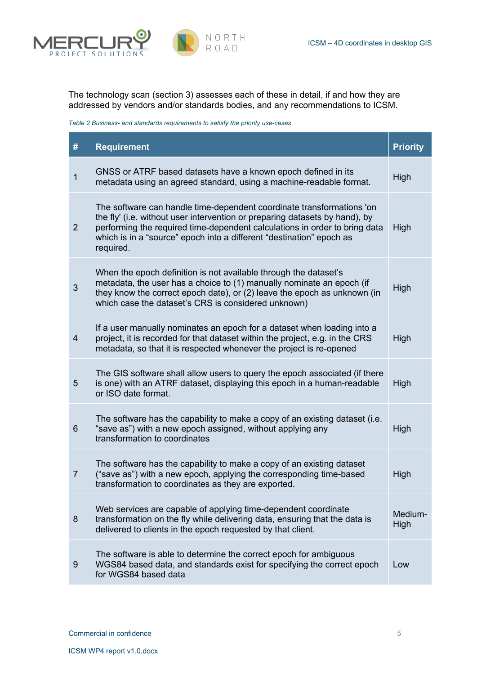

The technology scan (section 3) assesses each of these in detail, if and how they are addressed by vendors and/or standards bodies, and any recommendations to ICSM.

*Table 2 Business- and standards requirements to satisfy the priority use-cases*

| $\#$           | <b>Requirement</b>                                                                                                                                                                                                                                                                                                      | <b>Priority</b> |
|----------------|-------------------------------------------------------------------------------------------------------------------------------------------------------------------------------------------------------------------------------------------------------------------------------------------------------------------------|-----------------|
| $\overline{1}$ | GNSS or ATRF based datasets have a known epoch defined in its<br>metadata using an agreed standard, using a machine-readable format.                                                                                                                                                                                    | High            |
| $\overline{2}$ | The software can handle time-dependent coordinate transformations 'on<br>the fly' (i.e. without user intervention or preparing datasets by hand), by<br>performing the required time-dependent calculations in order to bring data<br>which is in a "source" epoch into a different "destination" epoch as<br>required. | High            |
| 3              | When the epoch definition is not available through the dataset's<br>metadata, the user has a choice to (1) manually nominate an epoch (if<br>they know the correct epoch date), or (2) leave the epoch as unknown (in<br>which case the dataset's CRS is considered unknown)                                            | High            |
| $\overline{4}$ | If a user manually nominates an epoch for a dataset when loading into a<br>project, it is recorded for that dataset within the project, e.g. in the CRS<br>metadata, so that it is respected whenever the project is re-opened                                                                                          | High            |
| 5              | The GIS software shall allow users to query the epoch associated (if there<br>is one) with an ATRF dataset, displaying this epoch in a human-readable<br>or ISO date format.                                                                                                                                            | High            |
| 6              | The software has the capability to make a copy of an existing dataset (i.e.<br>"save as") with a new epoch assigned, without applying any<br>transformation to coordinates                                                                                                                                              | High            |
| $\overline{7}$ | The software has the capability to make a copy of an existing dataset<br>("save as") with a new epoch, applying the corresponding time-based<br>transformation to coordinates as they are exported.                                                                                                                     | High            |
| 8              | Web services are capable of applying time-dependent coordinate<br>transformation on the fly while delivering data, ensuring that the data is<br>delivered to clients in the epoch requested by that client.                                                                                                             | Medium-<br>High |
| 9              | The software is able to determine the correct epoch for ambiguous<br>WGS84 based data, and standards exist for specifying the correct epoch<br>for WGS84 based data                                                                                                                                                     | Low             |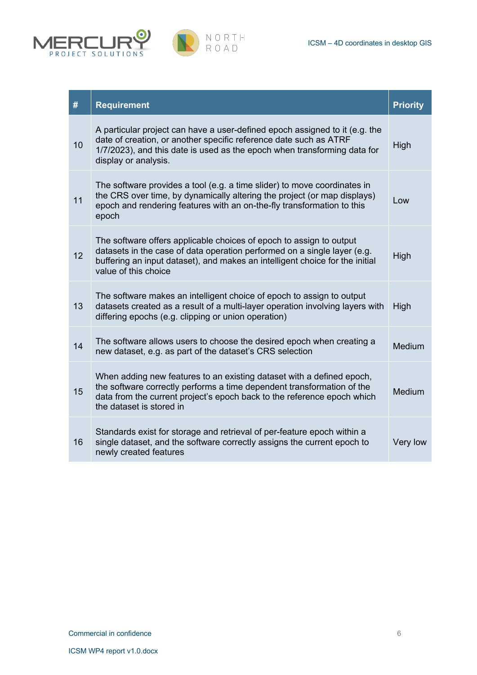



| #  | <b>Requirement</b>                                                                                                                                                                                                                                      | <b>Priority</b> |
|----|---------------------------------------------------------------------------------------------------------------------------------------------------------------------------------------------------------------------------------------------------------|-----------------|
| 10 | A particular project can have a user-defined epoch assigned to it (e.g. the<br>date of creation, or another specific reference date such as ATRF<br>1/7/2023), and this date is used as the epoch when transforming data for<br>display or analysis.    | High            |
| 11 | The software provides a tool (e.g. a time slider) to move coordinates in<br>the CRS over time, by dynamically altering the project (or map displays)<br>epoch and rendering features with an on-the-fly transformation to this<br>epoch                 | Low             |
| 12 | The software offers applicable choices of epoch to assign to output<br>datasets in the case of data operation performed on a single layer (e.g.<br>buffering an input dataset), and makes an intelligent choice for the initial<br>value of this choice | High            |
| 13 | The software makes an intelligent choice of epoch to assign to output<br>datasets created as a result of a multi-layer operation involving layers with<br>differing epochs (e.g. clipping or union operation)                                           | High            |
| 14 | The software allows users to choose the desired epoch when creating a<br>new dataset, e.g. as part of the dataset's CRS selection                                                                                                                       | Medium          |
| 15 | When adding new features to an existing dataset with a defined epoch,<br>the software correctly performs a time dependent transformation of the<br>data from the current project's epoch back to the reference epoch which<br>the dataset is stored in  | Medium          |
| 16 | Standards exist for storage and retrieval of per-feature epoch within a<br>single dataset, and the software correctly assigns the current epoch to<br>newly created features                                                                            | Very low        |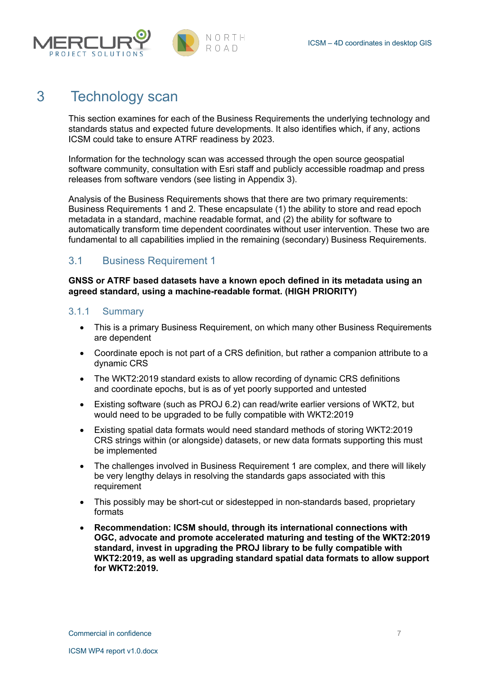

## 3 Technology scan

This section examines for each of the Business Requirements the underlying technology and standards status and expected future developments. It also identifies which, if any, actions ICSM could take to ensure ATRF readiness by 2023.

Information for the technology scan was accessed through the open source geospatial software community, consultation with Esri staff and publicly accessible roadmap and press releases from software vendors (see listing in Appendix 3).

Analysis of the Business Requirements shows that there are two primary requirements: Business Requirements 1 and 2. These encapsulate (1) the ability to store and read epoch metadata in a standard, machine readable format, and (2) the ability for software to automatically transform time dependent coordinates without user intervention. These two are fundamental to all capabilities implied in the remaining (secondary) Business Requirements.

## 3.1 Business Requirement 1

**GNSS or ATRF based datasets have a known epoch defined in its metadata using an agreed standard, using a machine-readable format. (HIGH PRIORITY)**

#### 3.1.1 Summary

- This is a primary Business Requirement, on which many other Business Requirements are dependent
- Coordinate epoch is not part of a CRS definition, but rather a companion attribute to a dynamic CRS
- The WKT2:2019 standard exists to allow recording of dynamic CRS definitions and coordinate epochs, but is as of yet poorly supported and untested
- Existing software (such as PROJ 6.2) can read/write earlier versions of WKT2, but would need to be upgraded to be fully compatible with WKT2:2019
- Existing spatial data formats would need standard methods of storing WKT2:2019 CRS strings within (or alongside) datasets, or new data formats supporting this must be implemented
- The challenges involved in Business Requirement 1 are complex, and there will likely be very lengthy delays in resolving the standards gaps associated with this requirement
- This possibly may be short-cut or sidestepped in non-standards based, proprietary formats
- **Recommendation: ICSM should, through its international connections with OGC, advocate and promote accelerated maturing and testing of the WKT2:2019 standard, invest in upgrading the PROJ library to be fully compatible with WKT2:2019, as well as upgrading standard spatial data formats to allow support for WKT2:2019.**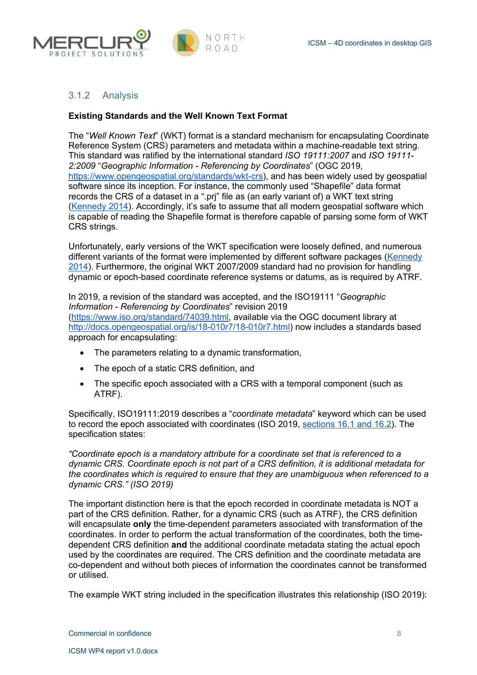



#### 3.1.2 Analysis

#### **Existing Standards and the Well Known Text Format**

The "*Well Known Text*" (WKT) format is a standard mechanism for encapsulating Coordinate Reference System (CRS) parameters and metadata within a machine-readable text string. This standard was ratified by the international standard *ISO 19111:2007* and *ISO 19111- 2:2009* "*Geographic Information - Referencing by Coordinates*" (OGC 2019, https://www.opengeospatial.org/standards/wkt-crs), and has been widely used by geospatial software since its inception. For instance, the commonly used "Shapefile" data format records the CRS of a dataset in a ".prj" file as (an early variant of) a WKT text string (Kennedy 2014). Accordingly, it's safe to assume that all modern geospatial software which is capable of reading the Shapefile format is therefore capable of parsing some form of WKT CRS strings.

Unfortunately, early versions of the WKT specification were loosely defined, and numerous different variants of the format were implemented by different software packages (Kennedy 2014). Furthermore, the original WKT 2007/2009 standard had no provision for handling dynamic or epoch-based coordinate reference systems or datums, as is required by ATRF.

In 2019, a revision of the standard was accepted, and the ISO19111 "*Geographic Information - Referencing by Coordinates*" revision 2019 (https://www.iso.org/standard/74039.html, available via the OGC document library at http://docs.opengeospatial.org/is/18-010r7/18-010r7.html) now includes a standards based approach for encapsulating:

- The parameters relating to a dynamic transformation,
- The epoch of a static CRS definition, and
- The specific epoch associated with a CRS with a temporal component (such as ATRF).

Specifically, ISO19111:2019 describes a "*coordinate metadata*" keyword which can be used to record the epoch associated with coordinates (ISO 2019, sections 16.1 and 16.2). The specification states:

*"Coordinate epoch is a mandatory attribute for a coordinate set that is referenced to a dynamic CRS. Coordinate epoch is not part of a CRS definition, it is additional metadata for the coordinates which is required to ensure that they are unambiguous when referenced to a dynamic CRS." (ISO 2019)*

The important distinction here is that the epoch recorded in coordinate metadata is NOT a part of the CRS definition. Rather, for a dynamic CRS (such as ATRF), the CRS definition will encapsulate **only** the time-dependent parameters associated with transformation of the coordinates. In order to perform the actual transformation of the coordinates, both the timedependent CRS definition **and** the additional coordinate metadata stating the actual epoch used by the coordinates are required. The CRS definition and the coordinate metadata are co-dependent and without both pieces of information the coordinates cannot be transformed or utilised.

The example WKT string included in the specification illustrates this relationship (ISO 2019):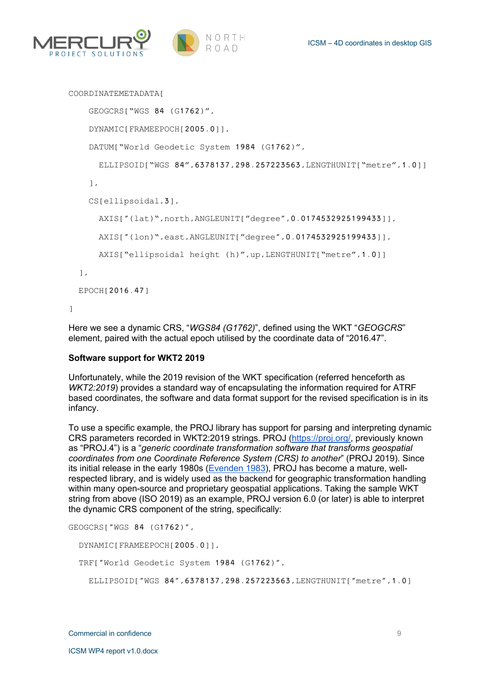



```
COORDINATEMETADATA[
    GEOGCRS["WGS 84 (G1762)",
     DYNAMIC[FRAMEEPOCH[2005.0]],
    DATUM["World Geodetic System 1984 (G1762)",
       ELLIPSOID["WGS 84",6378137,298.257223563,LENGTHUNIT["metre",1.0]]
     ],
     CS[ellipsoidal,3],
       AXIS["(lat)",north,ANGLEUNIT["degree",0.0174532925199433]],
       AXIS["(lon)",east,ANGLEUNIT["degree",0.0174532925199433]],
      AXIS["ellipsoidal height (h)", up, LENGTHUNIT["metre", 1.0]]
   ],
   EPOCH[2016.47]
]
```
Here we see a dynamic CRS, "*WGS84 (G1762)*", defined using the WKT "*GEOGCRS*" element, paired with the actual epoch utilised by the coordinate data of "2016.47".

#### **Software support for WKT2 2019**

Unfortunately, while the 2019 revision of the WKT specification (referred henceforth as *WKT2:2019*) provides a standard way of encapsulating the information required for ATRF based coordinates, the software and data format support for the revised specification is in its infancy.

To use a specific example, the PROJ library has support for parsing and interpreting dynamic CRS parameters recorded in WKT2:2019 strings. PROJ (https://proj.org/, previously known as "PROJ.4") is a "*generic coordinate transformation software that transforms geospatial coordinates from one Coordinate Reference System (CRS) to another*" (PROJ 2019). Since its initial release in the early 1980s (Evenden 1983), PROJ has become a mature, wellrespected library, and is widely used as the backend for geographic transformation handling within many open-source and proprietary geospatial applications. Taking the sample WKT string from above (ISO 2019) as an example, PROJ version 6.0 (or later) is able to interpret the dynamic CRS component of the string, specifically:

```
GEOGCRS["WGS 84 (G1762)",
  DYNAMIC[FRAMEEPOCH[2005.0]],
  TRF["World Geodetic System 1984 (G1762)",
     ELLIPSOID["WGS 84",6378137,298.257223563,LENGTHUNIT["metre",1.0]
```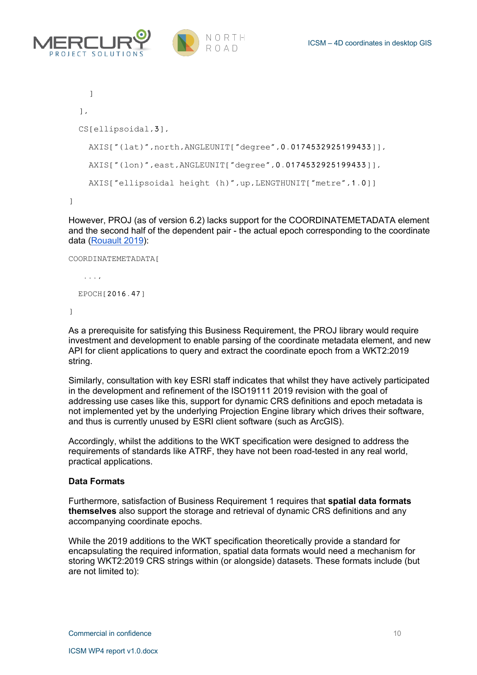



```
 ]
   ],
   CS[ellipsoidal,3],
     AXIS["(lat)",north,ANGLEUNIT["degree",0.0174532925199433]],
     AXIS["(lon)",east,ANGLEUNIT["degree",0.0174532925199433]],
    AXIS["ellipsoidal height (h)",up,LENGTHUNIT["metre",1.0]]
]
```
However, PROJ (as of version 6.2) lacks support for the COORDINATEMETADATA element and the second half of the dependent pair - the actual epoch corresponding to the coordinate data (Rouault 2019):

```
COORDINATEMETADATA[
    ...,
   EPOCH[2016.47]
]
```
As a prerequisite for satisfying this Business Requirement, the PROJ library would require investment and development to enable parsing of the coordinate metadata element, and new API for client applications to query and extract the coordinate epoch from a WKT2:2019 string.

Similarly, consultation with key ESRI staff indicates that whilst they have actively participated in the development and refinement of the ISO19111 2019 revision with the goal of addressing use cases like this, support for dynamic CRS definitions and epoch metadata is not implemented yet by the underlying Projection Engine library which drives their software. and thus is currently unused by ESRI client software (such as ArcGIS).

Accordingly, whilst the additions to the WKT specification were designed to address the requirements of standards like ATRF, they have not been road-tested in any real world, practical applications.

#### **Data Formats**

Furthermore, satisfaction of Business Requirement 1 requires that **spatial data formats themselves** also support the storage and retrieval of dynamic CRS definitions and any accompanying coordinate epochs.

While the 2019 additions to the WKT specification theoretically provide a standard for encapsulating the required information, spatial data formats would need a mechanism for storing WKT2:2019 CRS strings within (or alongside) datasets. These formats include (but are not limited to):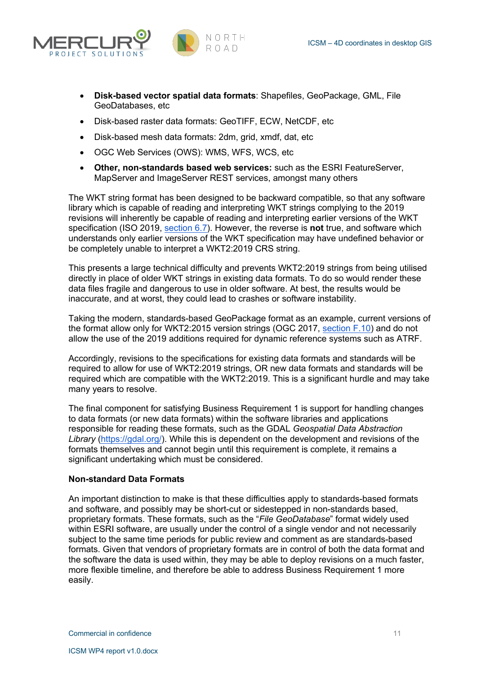



- **Disk-based vector spatial data formats**: Shapefiles, GeoPackage, GML, File GeoDatabases, etc
- Disk-based raster data formats: GeoTIFF, ECW, NetCDF, etc
- Disk-based mesh data formats: 2dm, grid, xmdf, dat, etc
- OGC Web Services (OWS): WMS, WFS, WCS, etc
- **Other, non-standards based web services:** such as the ESRI FeatureServer, MapServer and ImageServer REST services, amongst many others

The WKT string format has been designed to be backward compatible, so that any software library which is capable of reading and interpreting WKT strings complying to the 2019 revisions will inherently be capable of reading and interpreting earlier versions of the WKT specification (ISO 2019, section 6.7). However, the reverse is **not** true, and software which understands only earlier versions of the WKT specification may have undefined behavior or be completely unable to interpret a WKT2:2019 CRS string.

This presents a large technical difficulty and prevents WKT2:2019 strings from being utilised directly in place of older WKT strings in existing data formats. To do so would render these data files fragile and dangerous to use in older software. At best, the results would be inaccurate, and at worst, they could lead to crashes or software instability.

Taking the modern, standards-based GeoPackage format as an example, current versions of the format allow only for WKT2:2015 version strings (OGC 2017, section F.10) and do not allow the use of the 2019 additions required for dynamic reference systems such as ATRF.

Accordingly, revisions to the specifications for existing data formats and standards will be required to allow for use of WKT2:2019 strings, OR new data formats and standards will be required which are compatible with the WKT2:2019. This is a significant hurdle and may take many years to resolve.

The final component for satisfying Business Requirement 1 is support for handling changes to data formats (or new data formats) within the software libraries and applications responsible for reading these formats, such as the GDAL *Geospatial Data Abstraction Library* (https://gdal.org/). While this is dependent on the development and revisions of the formats themselves and cannot begin until this requirement is complete, it remains a significant undertaking which must be considered.

#### **Non-standard Data Formats**

An important distinction to make is that these difficulties apply to standards-based formats and software, and possibly may be short-cut or sidestepped in non-standards based, proprietary formats. These formats, such as the "*File GeoDatabase*" format widely used within ESRI software, are usually under the control of a single vendor and not necessarily subject to the same time periods for public review and comment as are standards-based formats. Given that vendors of proprietary formats are in control of both the data format and the software the data is used within, they may be able to deploy revisions on a much faster, more flexible timeline, and therefore be able to address Business Requirement 1 more easily.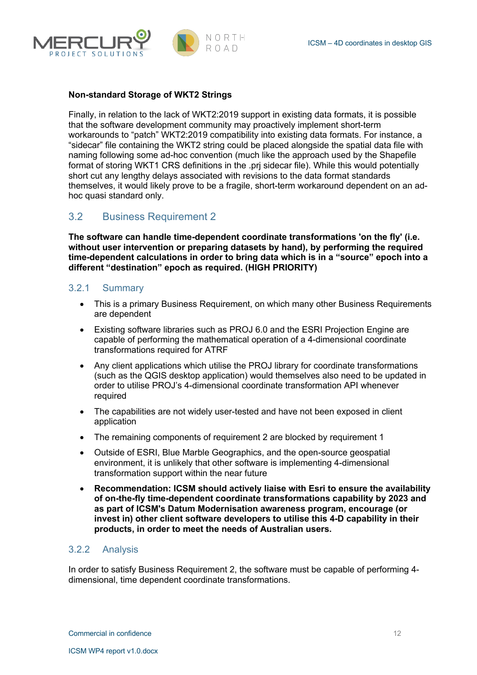



#### **Non-standard Storage of WKT2 Strings**

Finally, in relation to the lack of WKT2:2019 support in existing data formats, it is possible that the software development community may proactively implement short-term workarounds to "patch" WKT2:2019 compatibility into existing data formats. For instance, a "sidecar" file containing the WKT2 string could be placed alongside the spatial data file with naming following some ad-hoc convention (much like the approach used by the Shapefile format of storing WKT1 CRS definitions in the .prj sidecar file). While this would potentially short cut any lengthy delays associated with revisions to the data format standards themselves, it would likely prove to be a fragile, short-term workaround dependent on an adhoc quasi standard only.

## 3.2 Business Requirement 2

**The software can handle time-dependent coordinate transformations 'on the fly' (i.e. without user intervention or preparing datasets by hand), by performing the required time-dependent calculations in order to bring data which is in a "source" epoch into a different "destination" epoch as required. (HIGH PRIORITY)**

#### 3.2.1 Summary

- This is a primary Business Requirement, on which many other Business Requirements are dependent
- Existing software libraries such as PROJ 6.0 and the ESRI Projection Engine are capable of performing the mathematical operation of a 4-dimensional coordinate transformations required for ATRF
- Any client applications which utilise the PROJ library for coordinate transformations (such as the QGIS desktop application) would themselves also need to be updated in order to utilise PROJ's 4-dimensional coordinate transformation API whenever required
- The capabilities are not widely user-tested and have not been exposed in client application
- The remaining components of requirement 2 are blocked by requirement 1
- Outside of ESRI, Blue Marble Geographics, and the open-source geospatial environment, it is unlikely that other software is implementing 4-dimensional transformation support within the near future
- **Recommendation: ICSM should actively liaise with Esri to ensure the availability of on-the-fly time-dependent coordinate transformations capability by 2023 and as part of ICSM's Datum Modernisation awareness program, encourage (or invest in) other client software developers to utilise this 4-D capability in their products, in order to meet the needs of Australian users.**

#### 3.2.2 Analysis

In order to satisfy Business Requirement 2, the software must be capable of performing 4 dimensional, time dependent coordinate transformations.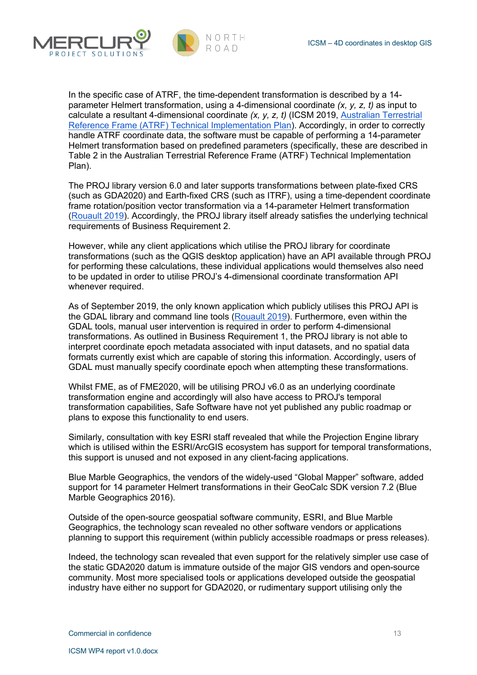



In the specific case of ATRF, the time-dependent transformation is described by a 14 parameter Helmert transformation, using a 4-dimensional coordinate *(x, y, z, t)* as input to calculate a resultant 4-dimensional coordinate *(x, y, z, t)* (ICSM 2019, Australian Terrestrial Reference Frame (ATRF) Technical Implementation Plan). Accordingly, in order to correctly handle ATRF coordinate data, the software must be capable of performing a 14-parameter Helmert transformation based on predefined parameters (specifically, these are described in Table 2 in the Australian Terrestrial Reference Frame (ATRF) Technical Implementation Plan).

The PROJ library version 6.0 and later supports transformations between plate-fixed CRS (such as GDA2020) and Earth-fixed CRS (such as ITRF), using a time-dependent coordinate frame rotation/position vector transformation via a 14-parameter Helmert transformation (Rouault 2019). Accordingly, the PROJ library itself already satisfies the underlying technical requirements of Business Requirement 2.

However, while any client applications which utilise the PROJ library for coordinate transformations (such as the QGIS desktop application) have an API available through PROJ for performing these calculations, these individual applications would themselves also need to be updated in order to utilise PROJ's 4-dimensional coordinate transformation API whenever required.

As of September 2019, the only known application which publicly utilises this PROJ API is the GDAL library and command line tools (Rouault 2019). Furthermore, even within the GDAL tools, manual user intervention is required in order to perform 4-dimensional transformations. As outlined in Business Requirement 1, the PROJ library is not able to interpret coordinate epoch metadata associated with input datasets, and no spatial data formats currently exist which are capable of storing this information. Accordingly, users of GDAL must manually specify coordinate epoch when attempting these transformations.

Whilst FME, as of FME2020, will be utilising PROJ v6.0 as an underlying coordinate transformation engine and accordingly will also have access to PROJ's temporal transformation capabilities, Safe Software have not yet published any public roadmap or plans to expose this functionality to end users.

Similarly, consultation with key ESRI staff revealed that while the Projection Engine library which is utilised within the ESRI/ArcGIS ecosystem has support for temporal transformations, this support is unused and not exposed in any client-facing applications.

Blue Marble Geographics, the vendors of the widely-used "Global Mapper" software, added support for 14 parameter Helmert transformations in their GeoCalc SDK version 7.2 (Blue Marble Geographics 2016).

Outside of the open-source geospatial software community, ESRI, and Blue Marble Geographics, the technology scan revealed no other software vendors or applications planning to support this requirement (within publicly accessible roadmaps or press releases).

Indeed, the technology scan revealed that even support for the relatively simpler use case of the static GDA2020 datum is immature outside of the major GIS vendors and open-source community. Most more specialised tools or applications developed outside the geospatial industry have either no support for GDA2020, or rudimentary support utilising only the

Commercial in confidence 13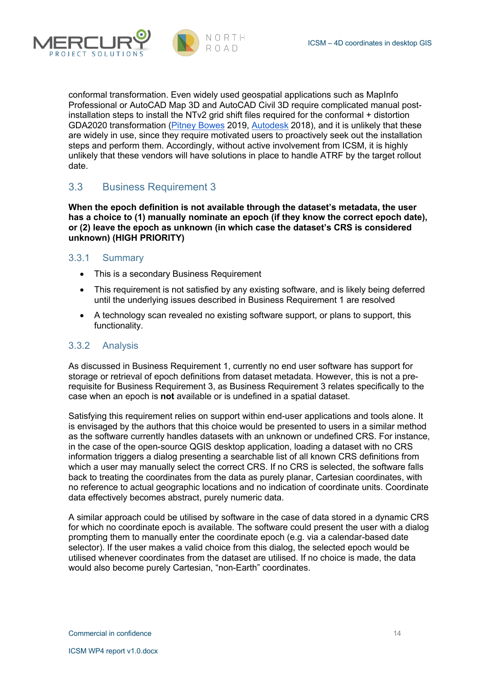

conformal transformation. Even widely used geospatial applications such as MapInfo Professional or AutoCAD Map 3D and AutoCAD Civil 3D require complicated manual postinstallation steps to install the NTv2 grid shift files required for the conformal + distortion GDA2020 transformation (Pitney Bowes 2019, Autodesk 2018), and it is unlikely that these are widely in use, since they require motivated users to proactively seek out the installation steps and perform them. Accordingly, without active involvement from ICSM, it is highly unlikely that these vendors will have solutions in place to handle ATRF by the target rollout date.

## 3.3 Business Requirement 3

**When the epoch definition is not available through the dataset's metadata, the user has a choice to (1) manually nominate an epoch (if they know the correct epoch date), or (2) leave the epoch as unknown (in which case the dataset's CRS is considered unknown) (HIGH PRIORITY)**

#### 3.3.1 Summary

ROIFCT SOLUTI

- This is a secondary Business Requirement
- This requirement is not satisfied by any existing software, and is likely being deferred until the underlying issues described in Business Requirement 1 are resolved
- A technology scan revealed no existing software support, or plans to support, this functionality.

#### 3.3.2 Analysis

As discussed in Business Requirement 1, currently no end user software has support for storage or retrieval of epoch definitions from dataset metadata. However, this is not a prerequisite for Business Requirement 3, as Business Requirement 3 relates specifically to the case when an epoch is **not** available or is undefined in a spatial dataset.

Satisfying this requirement relies on support within end-user applications and tools alone. It is envisaged by the authors that this choice would be presented to users in a similar method as the software currently handles datasets with an unknown or undefined CRS. For instance, in the case of the open-source QGIS desktop application, loading a dataset with no CRS information triggers a dialog presenting a searchable list of all known CRS definitions from which a user may manually select the correct CRS. If no CRS is selected, the software falls back to treating the coordinates from the data as purely planar, Cartesian coordinates, with no reference to actual geographic locations and no indication of coordinate units. Coordinate data effectively becomes abstract, purely numeric data.

A similar approach could be utilised by software in the case of data stored in a dynamic CRS for which no coordinate epoch is available. The software could present the user with a dialog prompting them to manually enter the coordinate epoch (e.g. via a calendar-based date selector). If the user makes a valid choice from this dialog, the selected epoch would be utilised whenever coordinates from the dataset are utilised. If no choice is made, the data would also become purely Cartesian, "non-Earth" coordinates.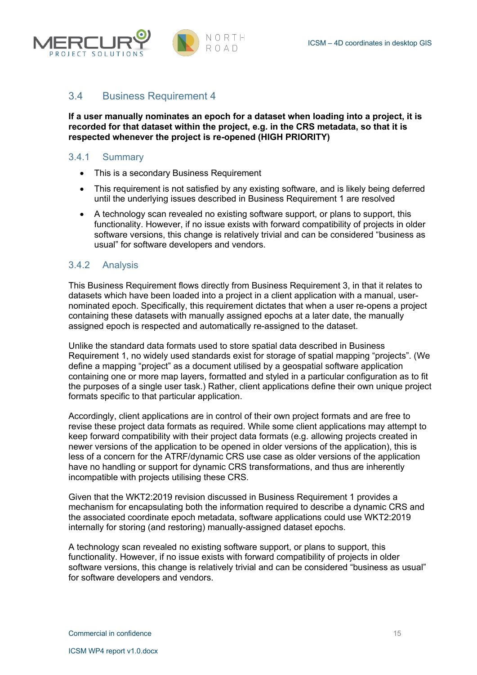



## 3.4 Business Requirement 4

**If a user manually nominates an epoch for a dataset when loading into a project, it is recorded for that dataset within the project, e.g. in the CRS metadata, so that it is respected whenever the project is re-opened (HIGH PRIORITY)**

## 3.4.1 Summary

- This is a secondary Business Requirement
- This requirement is not satisfied by any existing software, and is likely being deferred until the underlying issues described in Business Requirement 1 are resolved
- A technology scan revealed no existing software support, or plans to support, this functionality. However, if no issue exists with forward compatibility of projects in older software versions, this change is relatively trivial and can be considered "business as usual" for software developers and vendors.

## 3.4.2 Analysis

This Business Requirement flows directly from Business Requirement 3, in that it relates to datasets which have been loaded into a project in a client application with a manual, usernominated epoch. Specifically, this requirement dictates that when a user re-opens a project containing these datasets with manually assigned epochs at a later date, the manually assigned epoch is respected and automatically re-assigned to the dataset.

Unlike the standard data formats used to store spatial data described in Business Requirement 1, no widely used standards exist for storage of spatial mapping "projects". (We define a mapping "project" as a document utilised by a geospatial software application containing one or more map layers, formatted and styled in a particular configuration as to fit the purposes of a single user task.) Rather, client applications define their own unique project formats specific to that particular application.

Accordingly, client applications are in control of their own project formats and are free to revise these project data formats as required. While some client applications may attempt to keep forward compatibility with their project data formats (e.g. allowing projects created in newer versions of the application to be opened in older versions of the application), this is less of a concern for the ATRF/dynamic CRS use case as older versions of the application have no handling or support for dynamic CRS transformations, and thus are inherently incompatible with projects utilising these CRS.

Given that the WKT2:2019 revision discussed in Business Requirement 1 provides a mechanism for encapsulating both the information required to describe a dynamic CRS and the associated coordinate epoch metadata, software applications could use WKT2:2019 internally for storing (and restoring) manually-assigned dataset epochs.

A technology scan revealed no existing software support, or plans to support, this functionality. However, if no issue exists with forward compatibility of projects in older software versions, this change is relatively trivial and can be considered "business as usual" for software developers and vendors.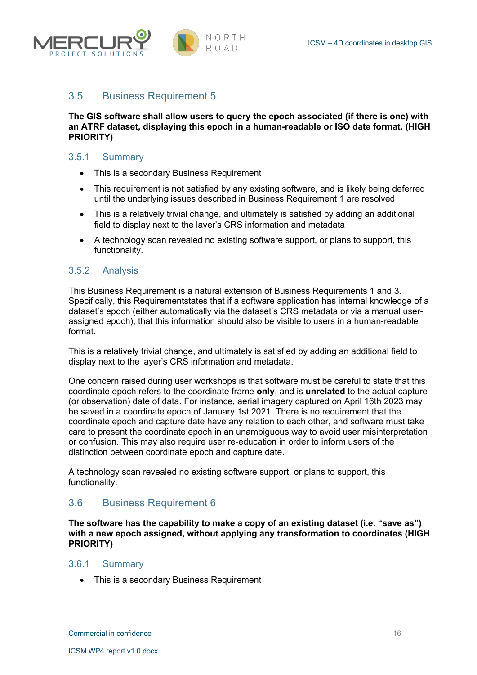



## 3.5 Business Requirement 5

**The GIS software shall allow users to query the epoch associated (if there is one) with an ATRF dataset, displaying this epoch in a human-readable or ISO date format. (HIGH PRIORITY)**

#### 3.5.1 Summary

- This is a secondary Business Requirement
- This requirement is not satisfied by any existing software, and is likely being deferred until the underlying issues described in Business Requirement 1 are resolved
- This is a relatively trivial change, and ultimately is satisfied by adding an additional field to display next to the layer's CRS information and metadata
- A technology scan revealed no existing software support, or plans to support, this functionality.

#### 3.5.2 Analysis

This Business Requirement is a natural extension of Business Requirements 1 and 3. Specifically, this Requirementstates that if a software application has internal knowledge of a dataset's epoch (either automatically via the dataset's CRS metadata or via a manual userassigned epoch), that this information should also be visible to users in a human-readable format.

This is a relatively trivial change, and ultimately is satisfied by adding an additional field to display next to the layer's CRS information and metadata.

One concern raised during user workshops is that software must be careful to state that this coordinate epoch refers to the coordinate frame **only**, and is **unrelated** to the actual capture (or observation) date of data. For instance, aerial imagery captured on April 16th 2023 may be saved in a coordinate epoch of January 1st 2021. There is no requirement that the coordinate epoch and capture date have any relation to each other, and software must take care to present the coordinate epoch in an unambiguous way to avoid user misinterpretation or confusion. This may also require user re-education in order to inform users of the distinction between coordinate epoch and capture date.

A technology scan revealed no existing software support, or plans to support, this functionality.

## 3.6 Business Requirement 6

**The software has the capability to make a copy of an existing dataset (i.e. "save as") with a new epoch assigned, without applying any transformation to coordinates (HIGH PRIORITY)**

#### 3.6.1 Summary

• This is a secondary Business Requirement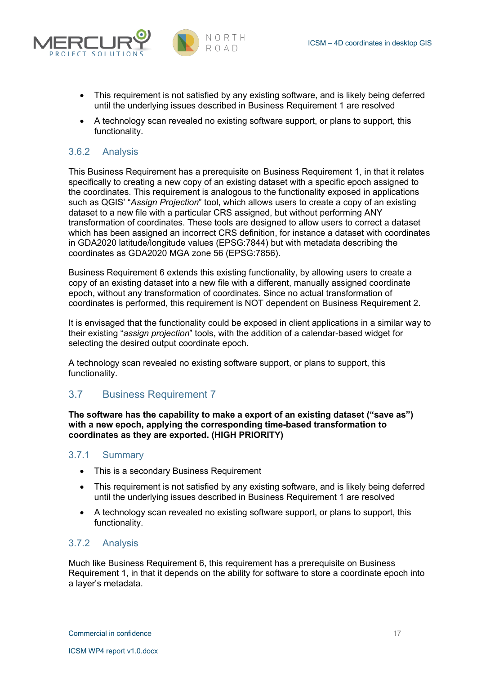



- This requirement is not satisfied by any existing software, and is likely being deferred until the underlying issues described in Business Requirement 1 are resolved
- A technology scan revealed no existing software support, or plans to support, this functionality.

### 3.6.2 Analysis

This Business Requirement has a prerequisite on Business Requirement 1, in that it relates specifically to creating a new copy of an existing dataset with a specific epoch assigned to the coordinates. This requirement is analogous to the functionality exposed in applications such as QGIS' "*Assign Projection*" tool, which allows users to create a copy of an existing dataset to a new file with a particular CRS assigned, but without performing ANY transformation of coordinates. These tools are designed to allow users to correct a dataset which has been assigned an incorrect CRS definition, for instance a dataset with coordinates in GDA2020 latitude/longitude values (EPSG:7844) but with metadata describing the coordinates as GDA2020 MGA zone 56 (EPSG:7856).

Business Requirement 6 extends this existing functionality, by allowing users to create a copy of an existing dataset into a new file with a different, manually assigned coordinate epoch, without any transformation of coordinates. Since no actual transformation of coordinates is performed, this requirement is NOT dependent on Business Requirement 2.

It is envisaged that the functionality could be exposed in client applications in a similar way to their existing "*assign projection*" tools, with the addition of a calendar-based widget for selecting the desired output coordinate epoch.

A technology scan revealed no existing software support, or plans to support, this functionality.

## 3.7 Business Requirement 7

**The software has the capability to make a export of an existing dataset ("save as") with a new epoch, applying the corresponding time-based transformation to coordinates as they are exported. (HIGH PRIORITY)**

## 3.7.1 Summary

- This is a secondary Business Requirement
- This requirement is not satisfied by any existing software, and is likely being deferred until the underlying issues described in Business Requirement 1 are resolved
- A technology scan revealed no existing software support, or plans to support, this functionality.

#### 3.7.2 Analysis

Much like Business Requirement 6, this requirement has a prerequisite on Business Requirement 1, in that it depends on the ability for software to store a coordinate epoch into a layer's metadata.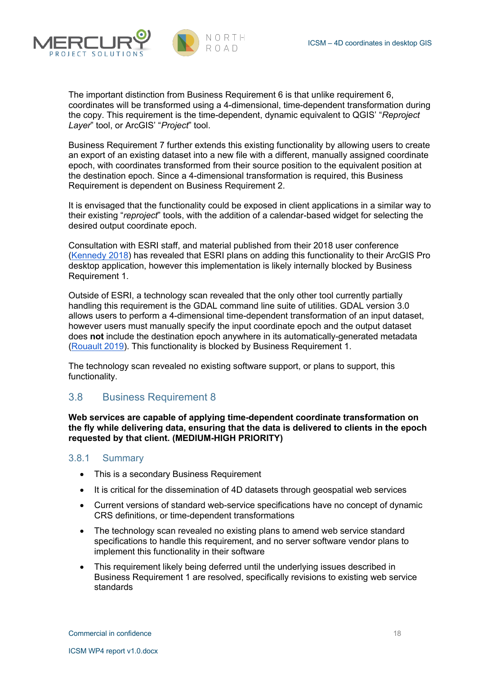



The important distinction from Business Requirement 6 is that unlike requirement 6, coordinates will be transformed using a 4-dimensional, time-dependent transformation during the copy. This requirement is the time-dependent, dynamic equivalent to QGIS' "*Reproject Layer*" tool, or ArcGIS' "*Project*" tool.

Business Requirement 7 further extends this existing functionality by allowing users to create an export of an existing dataset into a new file with a different, manually assigned coordinate epoch, with coordinates transformed from their source position to the equivalent position at the destination epoch. Since a 4-dimensional transformation is required, this Business Requirement is dependent on Business Requirement 2.

It is envisaged that the functionality could be exposed in client applications in a similar way to their existing "*reproject*" tools, with the addition of a calendar-based widget for selecting the desired output coordinate epoch.

Consultation with ESRI staff, and material published from their 2018 user conference (Kennedy 2018) has revealed that ESRI plans on adding this functionality to their ArcGIS Pro desktop application, however this implementation is likely internally blocked by Business Requirement 1.

Outside of ESRI, a technology scan revealed that the only other tool currently partially handling this requirement is the GDAL command line suite of utilities. GDAL version 3.0 allows users to perform a 4-dimensional time-dependent transformation of an input dataset, however users must manually specify the input coordinate epoch and the output dataset does **not** include the destination epoch anywhere in its automatically-generated metadata (Rouault 2019). This functionality is blocked by Business Requirement 1.

The technology scan revealed no existing software support, or plans to support, this functionality.

## 3.8 Business Requirement 8

**Web services are capable of applying time-dependent coordinate transformation on the fly while delivering data, ensuring that the data is delivered to clients in the epoch requested by that client. (MEDIUM-HIGH PRIORITY)**

#### 3.8.1 Summary

- This is a secondary Business Requirement
- It is critical for the dissemination of 4D datasets through geospatial web services
- Current versions of standard web-service specifications have no concept of dynamic CRS definitions, or time-dependent transformations
- The technology scan revealed no existing plans to amend web service standard specifications to handle this requirement, and no server software vendor plans to implement this functionality in their software
- This requirement likely being deferred until the underlying issues described in Business Requirement 1 are resolved, specifically revisions to existing web service standards

**Commercial in confidence** 18 and 18 and 18 and 18 and 18 and 18 and 18 and 18 and 18 and 18 and 18 and 18 and 18 and 18 and 18 and 18 and 18 and 18 and 18 and 18 and 18 and 18 and 18 and 18 and 18 and 18 and 18 and 18 and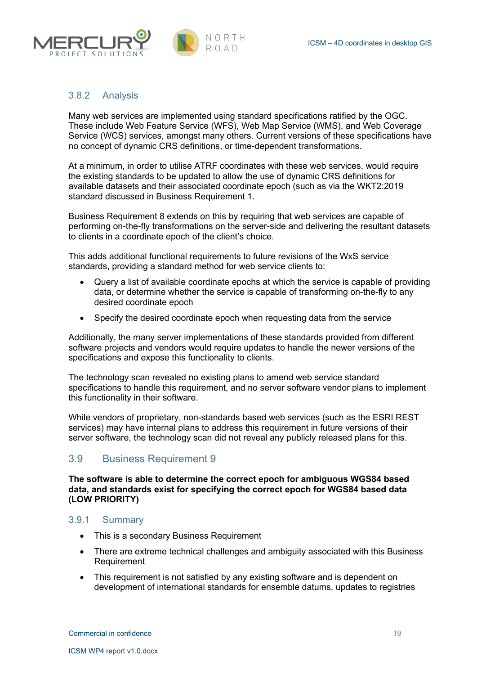



#### 3.8.2 Analysis

Many web services are implemented using standard specifications ratified by the OGC. These include Web Feature Service (WFS), Web Map Service (WMS), and Web Coverage Service (WCS) services, amongst many others. Current versions of these specifications have no concept of dynamic CRS definitions, or time-dependent transformations.

At a minimum, in order to utilise ATRF coordinates with these web services, would require the existing standards to be updated to allow the use of dynamic CRS definitions for available datasets and their associated coordinate epoch (such as via the WKT2:2019 standard discussed in Business Requirement 1.

Business Requirement 8 extends on this by requiring that web services are capable of performing on-the-fly transformations on the server-side and delivering the resultant datasets to clients in a coordinate epoch of the client's choice.

This adds additional functional requirements to future revisions of the WxS service standards, providing a standard method for web service clients to:

- Query a list of available coordinate epochs at which the service is capable of providing data, or determine whether the service is capable of transforming on-the-fly to any desired coordinate epoch
- Specify the desired coordinate epoch when requesting data from the service

Additionally, the many server implementations of these standards provided from different software projects and vendors would require updates to handle the newer versions of the specifications and expose this functionality to clients.

The technology scan revealed no existing plans to amend web service standard specifications to handle this requirement, and no server software vendor plans to implement this functionality in their software.

While vendors of proprietary, non-standards based web services (such as the ESRI REST services) may have internal plans to address this requirement in future versions of their server software, the technology scan did not reveal any publicly released plans for this.

## 3.9 Business Requirement 9

**The software is able to determine the correct epoch for ambiguous WGS84 based data, and standards exist for specifying the correct epoch for WGS84 based data (LOW PRIORITY)**

#### 3.9.1 Summary

- This is a secondary Business Requirement
- There are extreme technical challenges and ambiguity associated with this Business **Requirement**
- This requirement is not satisfied by any existing software and is dependent on development of international standards for ensemble datums, updates to registries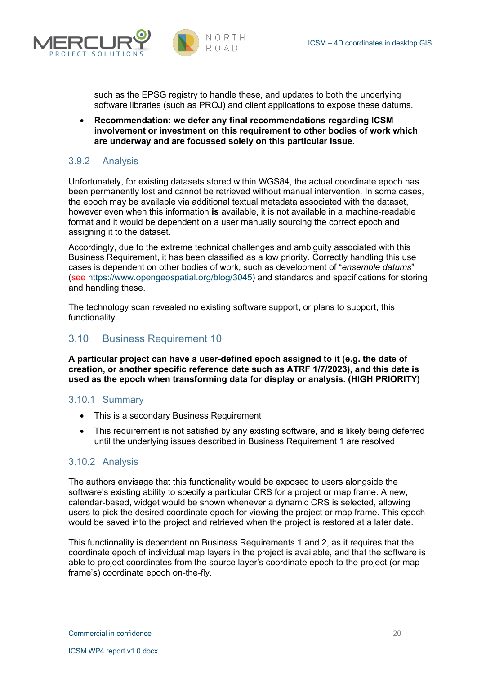

such as the EPSG registry to handle these, and updates to both the underlying software libraries (such as PROJ) and client applications to expose these datums.

• **Recommendation: we defer any final recommendations regarding ICSM involvement or investment on this requirement to other bodies of work which are underway and are focussed solely on this particular issue.**

#### 3.9.2 Analysis

Unfortunately, for existing datasets stored within WGS84, the actual coordinate epoch has been permanently lost and cannot be retrieved without manual intervention. In some cases, the epoch may be available via additional textual metadata associated with the dataset, however even when this information **is** available, it is not available in a machine-readable format and it would be dependent on a user manually sourcing the correct epoch and assigning it to the dataset.

Accordingly, due to the extreme technical challenges and ambiguity associated with this Business Requirement, it has been classified as a low priority. Correctly handling this use cases is dependent on other bodies of work, such as development of "*ensemble datums*" (see https://www.opengeospatial.org/blog/3045) and standards and specifications for storing and handling these.

The technology scan revealed no existing software support, or plans to support, this functionality.

#### 3.10 Business Requirement 10

**A particular project can have a user-defined epoch assigned to it (e.g. the date of creation, or another specific reference date such as ATRF 1/7/2023), and this date is used as the epoch when transforming data for display or analysis. (HIGH PRIORITY)**

#### 3.10.1 Summary

- This is a secondary Business Requirement
- This requirement is not satisfied by any existing software, and is likely being deferred until the underlying issues described in Business Requirement 1 are resolved

#### 3.10.2 Analysis

The authors envisage that this functionality would be exposed to users alongside the software's existing ability to specify a particular CRS for a project or map frame. A new, calendar-based, widget would be shown whenever a dynamic CRS is selected, allowing users to pick the desired coordinate epoch for viewing the project or map frame. This epoch would be saved into the project and retrieved when the project is restored at a later date.

This functionality is dependent on Business Requirements 1 and 2, as it requires that the coordinate epoch of individual map layers in the project is available, and that the software is able to project coordinates from the source layer's coordinate epoch to the project (or map frame's) coordinate epoch on-the-fly.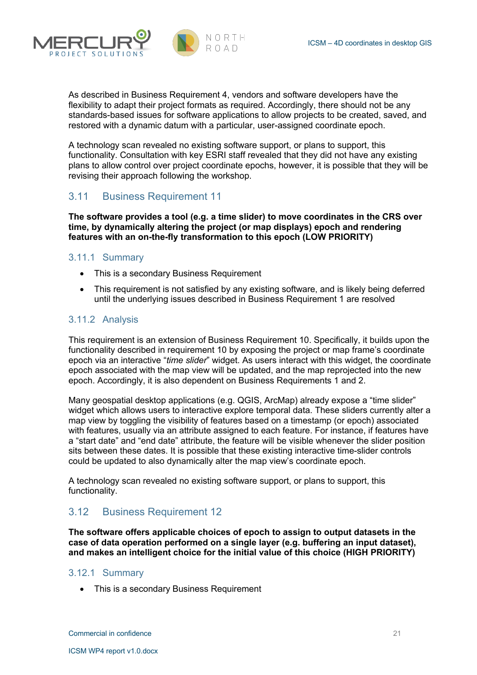

As described in Business Requirement 4, vendors and software developers have the flexibility to adapt their project formats as required. Accordingly, there should not be any standards-based issues for software applications to allow projects to be created, saved, and restored with a dynamic datum with a particular, user-assigned coordinate epoch.

A technology scan revealed no existing software support, or plans to support, this functionality. Consultation with key ESRI staff revealed that they did not have any existing plans to allow control over project coordinate epochs, however, it is possible that they will be revising their approach following the workshop.

## 3.11 Business Requirement 11

**The software provides a tool (e.g. a time slider) to move coordinates in the CRS over time, by dynamically altering the project (or map displays) epoch and rendering features with an on-the-fly transformation to this epoch (LOW PRIORITY)**

#### 3.11.1 Summary

ROIFCT SOLUTI

- This is a secondary Business Requirement
- This requirement is not satisfied by any existing software, and is likely being deferred until the underlying issues described in Business Requirement 1 are resolved

#### 3.11.2 Analysis

This requirement is an extension of Business Requirement 10. Specifically, it builds upon the functionality described in requirement 10 by exposing the project or map frame's coordinate epoch via an interactive "*time slider*" widget. As users interact with this widget, the coordinate epoch associated with the map view will be updated, and the map reprojected into the new epoch. Accordingly, it is also dependent on Business Requirements 1 and 2.

Many geospatial desktop applications (e.g. QGIS, ArcMap) already expose a "time slider" widget which allows users to interactive explore temporal data. These sliders currently alter a map view by toggling the visibility of features based on a timestamp (or epoch) associated with features, usually via an attribute assigned to each feature. For instance, if features have a "start date" and "end date" attribute, the feature will be visible whenever the slider position sits between these dates. It is possible that these existing interactive time-slider controls could be updated to also dynamically alter the map view's coordinate epoch.

A technology scan revealed no existing software support, or plans to support, this functionality.

## 3.12 Business Requirement 12

**The software offers applicable choices of epoch to assign to output datasets in the case of data operation performed on a single layer (e.g. buffering an input dataset), and makes an intelligent choice for the initial value of this choice (HIGH PRIORITY)**

#### 3.12.1 Summary

• This is a secondary Business Requirement

**Commercial in confidence** 21 **22**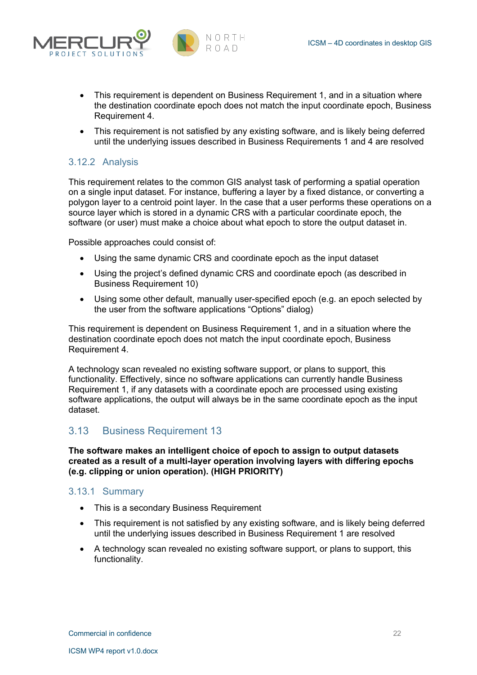



- This requirement is dependent on Business Requirement 1, and in a situation where the destination coordinate epoch does not match the input coordinate epoch, Business Requirement 4.
- This requirement is not satisfied by any existing software, and is likely being deferred until the underlying issues described in Business Requirements 1 and 4 are resolved

### 3.12.2 Analysis

This requirement relates to the common GIS analyst task of performing a spatial operation on a single input dataset. For instance, buffering a layer by a fixed distance, or converting a polygon layer to a centroid point layer. In the case that a user performs these operations on a source layer which is stored in a dynamic CRS with a particular coordinate epoch, the software (or user) must make a choice about what epoch to store the output dataset in.

Possible approaches could consist of:

- Using the same dynamic CRS and coordinate epoch as the input dataset
- Using the project's defined dynamic CRS and coordinate epoch (as described in Business Requirement 10)
- Using some other default, manually user-specified epoch (e.g. an epoch selected by the user from the software applications "Options" dialog)

This requirement is dependent on Business Requirement 1, and in a situation where the destination coordinate epoch does not match the input coordinate epoch, Business Requirement 4.

A technology scan revealed no existing software support, or plans to support, this functionality. Effectively, since no software applications can currently handle Business Requirement 1, if any datasets with a coordinate epoch are processed using existing software applications, the output will always be in the same coordinate epoch as the input dataset.

## 3.13 Business Requirement 13

**The software makes an intelligent choice of epoch to assign to output datasets created as a result of a multi-layer operation involving layers with differing epochs (e.g. clipping or union operation). (HIGH PRIORITY)**

#### 3.13.1 Summary

- This is a secondary Business Requirement
- This requirement is not satisfied by any existing software, and is likely being deferred until the underlying issues described in Business Requirement 1 are resolved
- A technology scan revealed no existing software support, or plans to support, this functionality.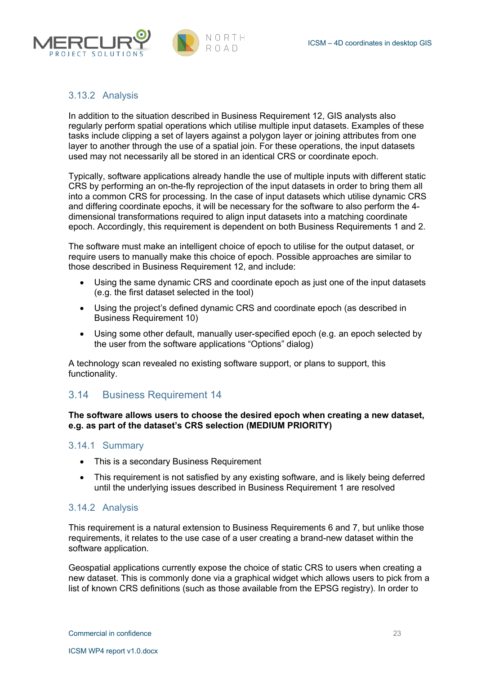



#### 3.13.2 Analysis

In addition to the situation described in Business Requirement 12, GIS analysts also regularly perform spatial operations which utilise multiple input datasets. Examples of these tasks include clipping a set of layers against a polygon layer or joining attributes from one layer to another through the use of a spatial join. For these operations, the input datasets used may not necessarily all be stored in an identical CRS or coordinate epoch.

Typically, software applications already handle the use of multiple inputs with different static CRS by performing an on-the-fly reprojection of the input datasets in order to bring them all into a common CRS for processing. In the case of input datasets which utilise dynamic CRS and differing coordinate epochs, it will be necessary for the software to also perform the 4 dimensional transformations required to align input datasets into a matching coordinate epoch. Accordingly, this requirement is dependent on both Business Requirements 1 and 2.

The software must make an intelligent choice of epoch to utilise for the output dataset, or require users to manually make this choice of epoch. Possible approaches are similar to those described in Business Requirement 12, and include:

- Using the same dynamic CRS and coordinate epoch as just one of the input datasets (e.g. the first dataset selected in the tool)
- Using the project's defined dynamic CRS and coordinate epoch (as described in Business Requirement 10)
- Using some other default, manually user-specified epoch (e.g. an epoch selected by the user from the software applications "Options" dialog)

A technology scan revealed no existing software support, or plans to support, this functionality.

## 3.14 Business Requirement 14

#### **The software allows users to choose the desired epoch when creating a new dataset, e.g. as part of the dataset's CRS selection (MEDIUM PRIORITY)**

#### 3.14.1 Summary

- This is a secondary Business Requirement
- This requirement is not satisfied by any existing software, and is likely being deferred until the underlying issues described in Business Requirement 1 are resolved

#### 3.14.2 Analysis

This requirement is a natural extension to Business Requirements 6 and 7, but unlike those requirements, it relates to the use case of a user creating a brand-new dataset within the software application.

Geospatial applications currently expose the choice of static CRS to users when creating a new dataset. This is commonly done via a graphical widget which allows users to pick from a list of known CRS definitions (such as those available from the EPSG registry). In order to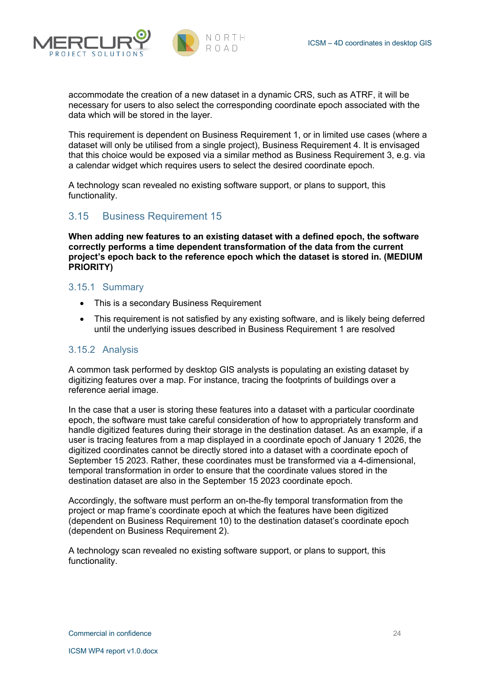



accommodate the creation of a new dataset in a dynamic CRS, such as ATRF, it will be necessary for users to also select the corresponding coordinate epoch associated with the data which will be stored in the layer.

This requirement is dependent on Business Requirement 1, or in limited use cases (where a dataset will only be utilised from a single project), Business Requirement 4. It is envisaged that this choice would be exposed via a similar method as Business Requirement 3, e.g. via a calendar widget which requires users to select the desired coordinate epoch.

A technology scan revealed no existing software support, or plans to support, this functionality.

## 3.15 Business Requirement 15

**When adding new features to an existing dataset with a defined epoch, the software correctly performs a time dependent transformation of the data from the current project's epoch back to the reference epoch which the dataset is stored in. (MEDIUM PRIORITY)**

#### 3.15.1 Summary

- This is a secondary Business Requirement
- This requirement is not satisfied by any existing software, and is likely being deferred until the underlying issues described in Business Requirement 1 are resolved

#### 3.15.2 Analysis

A common task performed by desktop GIS analysts is populating an existing dataset by digitizing features over a map. For instance, tracing the footprints of buildings over a reference aerial image.

In the case that a user is storing these features into a dataset with a particular coordinate epoch, the software must take careful consideration of how to appropriately transform and handle digitized features during their storage in the destination dataset. As an example, if a user is tracing features from a map displayed in a coordinate epoch of January 1 2026, the digitized coordinates cannot be directly stored into a dataset with a coordinate epoch of September 15 2023. Rather, these coordinates must be transformed via a 4-dimensional, temporal transformation in order to ensure that the coordinate values stored in the destination dataset are also in the September 15 2023 coordinate epoch.

Accordingly, the software must perform an on-the-fly temporal transformation from the project or map frame's coordinate epoch at which the features have been digitized (dependent on Business Requirement 10) to the destination dataset's coordinate epoch (dependent on Business Requirement 2).

A technology scan revealed no existing software support, or plans to support, this functionality.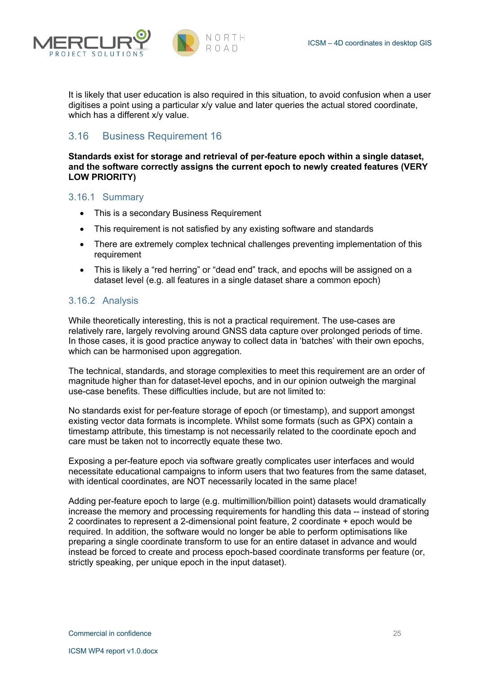



It is likely that user education is also required in this situation, to avoid confusion when a user digitises a point using a particular x/y value and later queries the actual stored coordinate, which has a different x/y value.

## 3.16 Business Requirement 16

**Standards exist for storage and retrieval of per-feature epoch within a single dataset, and the software correctly assigns the current epoch to newly created features (VERY LOW PRIORITY)**

#### 3.16.1 Summary

- This is a secondary Business Requirement
- This requirement is not satisfied by any existing software and standards
- There are extremely complex technical challenges preventing implementation of this requirement
- This is likely a "red herring" or "dead end" track, and epochs will be assigned on a dataset level (e.g. all features in a single dataset share a common epoch)

#### 3.16.2 Analysis

While theoretically interesting, this is not a practical requirement. The use-cases are relatively rare, largely revolving around GNSS data capture over prolonged periods of time. In those cases, it is good practice anyway to collect data in 'batches' with their own epochs, which can be harmonised upon aggregation.

The technical, standards, and storage complexities to meet this requirement are an order of magnitude higher than for dataset-level epochs, and in our opinion outweigh the marginal use-case benefits. These difficulties include, but are not limited to:

No standards exist for per-feature storage of epoch (or timestamp), and support amongst existing vector data formats is incomplete. Whilst some formats (such as GPX) contain a timestamp attribute, this timestamp is not necessarily related to the coordinate epoch and care must be taken not to incorrectly equate these two.

Exposing a per-feature epoch via software greatly complicates user interfaces and would necessitate educational campaigns to inform users that two features from the same dataset, with identical coordinates, are NOT necessarily located in the same place!

Adding per-feature epoch to large (e.g. multimillion/billion point) datasets would dramatically increase the memory and processing requirements for handling this data -- instead of storing 2 coordinates to represent a 2-dimensional point feature, 2 coordinate + epoch would be required. In addition, the software would no longer be able to perform optimisations like preparing a single coordinate transform to use for an entire dataset in advance and would instead be forced to create and process epoch-based coordinate transforms per feature (or, strictly speaking, per unique epoch in the input dataset).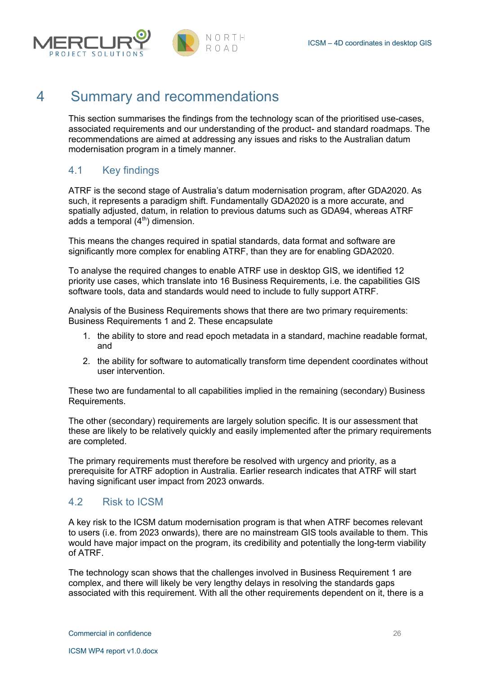

## 4 Summary and recommendations

This section summarises the findings from the technology scan of the prioritised use-cases, associated requirements and our understanding of the product- and standard roadmaps. The recommendations are aimed at addressing any issues and risks to the Australian datum modernisation program in a timely manner.

## 4.1 Key findings

ATRF is the second stage of Australia's datum modernisation program, after GDA2020. As such, it represents a paradigm shift. Fundamentally GDA2020 is a more accurate, and spatially adjusted, datum, in relation to previous datums such as GDA94, whereas ATRF adds a temporal  $(4<sup>th</sup>)$  dimension.

This means the changes required in spatial standards, data format and software are significantly more complex for enabling ATRF, than they are for enabling GDA2020.

To analyse the required changes to enable ATRF use in desktop GIS, we identified 12 priority use cases, which translate into 16 Business Requirements, i.e. the capabilities GIS software tools, data and standards would need to include to fully support ATRF.

Analysis of the Business Requirements shows that there are two primary requirements: Business Requirements 1 and 2. These encapsulate

- 1. the ability to store and read epoch metadata in a standard, machine readable format, and
- 2. the ability for software to automatically transform time dependent coordinates without user intervention.

These two are fundamental to all capabilities implied in the remaining (secondary) Business Requirements.

The other (secondary) requirements are largely solution specific. It is our assessment that these are likely to be relatively quickly and easily implemented after the primary requirements are completed.

The primary requirements must therefore be resolved with urgency and priority, as a prerequisite for ATRF adoption in Australia. Earlier research indicates that ATRF will start having significant user impact from 2023 onwards.

## 4.2 Risk to ICSM

A key risk to the ICSM datum modernisation program is that when ATRF becomes relevant to users (i.e. from 2023 onwards), there are no mainstream GIS tools available to them. This would have major impact on the program, its credibility and potentially the long-term viability of ATRF.

The technology scan shows that the challenges involved in Business Requirement 1 are complex, and there will likely be very lengthy delays in resolving the standards gaps associated with this requirement. With all the other requirements dependent on it, there is a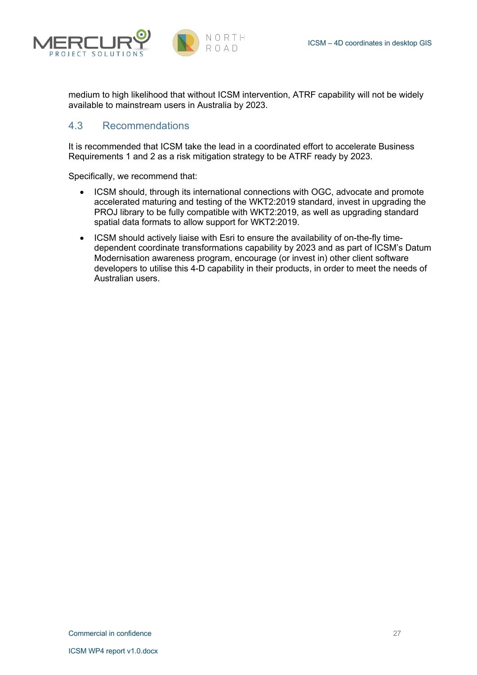



medium to high likelihood that without ICSM intervention, ATRF capability will not be widely available to mainstream users in Australia by 2023.

## 4.3 Recommendations

It is recommended that ICSM take the lead in a coordinated effort to accelerate Business Requirements 1 and 2 as a risk mitigation strategy to be ATRF ready by 2023.

Specifically, we recommend that:

- ICSM should, through its international connections with OGC, advocate and promote accelerated maturing and testing of the WKT2:2019 standard, invest in upgrading the PROJ library to be fully compatible with WKT2:2019, as well as upgrading standard spatial data formats to allow support for WKT2:2019.
- ICSM should actively liaise with Esri to ensure the availability of on-the-fly timedependent coordinate transformations capability by 2023 and as part of ICSM's Datum Modernisation awareness program, encourage (or invest in) other client software developers to utilise this 4-D capability in their products, in order to meet the needs of Australian users.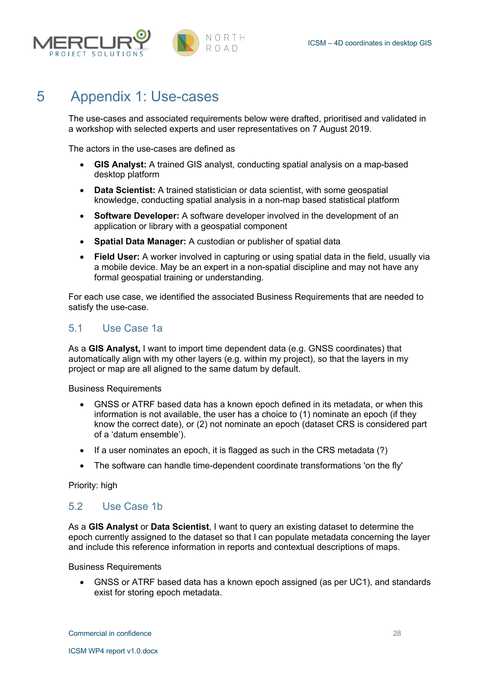



## 5 Appendix 1: Use-cases

The use-cases and associated requirements below were drafted, prioritised and validated in a workshop with selected experts and user representatives on 7 August 2019.

NORTH ROAD.

The actors in the use-cases are defined as

- **GIS Analyst:** A trained GIS analyst, conducting spatial analysis on a map-based desktop platform
- **Data Scientist:** A trained statistician or data scientist, with some geospatial knowledge, conducting spatial analysis in a non-map based statistical platform
- **Software Developer:** A software developer involved in the development of an application or library with a geospatial component
- **Spatial Data Manager:** A custodian or publisher of spatial data
- **Field User:** A worker involved in capturing or using spatial data in the field, usually via a mobile device. May be an expert in a non-spatial discipline and may not have any formal geospatial training or understanding.

For each use case, we identified the associated Business Requirements that are needed to satisfy the use-case.

## 5.1 Use Case 1a

As a **GIS Analyst,** I want to import time dependent data (e.g. GNSS coordinates) that automatically align with my other layers (e.g. within my project), so that the layers in my project or map are all aligned to the same datum by default.

Business Requirements

- GNSS or ATRF based data has a known epoch defined in its metadata, or when this information is not available, the user has a choice to (1) nominate an epoch (if they know the correct date), or (2) not nominate an epoch (dataset CRS is considered part of a 'datum ensemble').
- If a user nominates an epoch, it is flagged as such in the CRS metadata (?)
- The software can handle time-dependent coordinate transformations 'on the fly'

Priority: high

## 5.2 Use Case 1b

As a **GIS Analyst** or **Data Scientist**, I want to query an existing dataset to determine the epoch currently assigned to the dataset so that I can populate metadata concerning the layer and include this reference information in reports and contextual descriptions of maps.

Business Requirements

• GNSS or ATRF based data has a known epoch assigned (as per UC1), and standards exist for storing epoch metadata.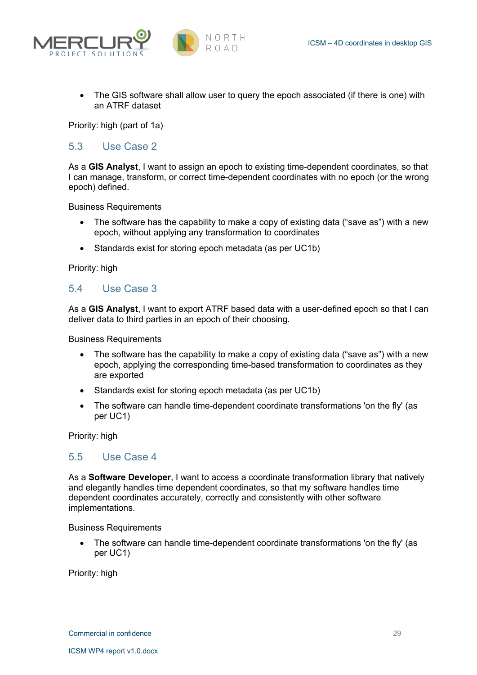



• The GIS software shall allow user to query the epoch associated (if there is one) with an ATRF dataset

Priority: high (part of 1a)

### 5.3 Use Case 2

As a **GIS Analyst**, I want to assign an epoch to existing time-dependent coordinates, so that I can manage, transform, or correct time-dependent coordinates with no epoch (or the wrong epoch) defined.

Business Requirements

- The software has the capability to make a copy of existing data ("save as") with a new epoch, without applying any transformation to coordinates
- Standards exist for storing epoch metadata (as per UC1b)

Priority: high

## 5.4 Use Case 3

As a **GIS Analyst**, I want to export ATRF based data with a user-defined epoch so that I can deliver data to third parties in an epoch of their choosing.

Business Requirements

- The software has the capability to make a copy of existing data ("save as") with a new epoch, applying the corresponding time-based transformation to coordinates as they are exported
- Standards exist for storing epoch metadata (as per UC1b)
- The software can handle time-dependent coordinate transformations 'on the fly' (as per UC1)

Priority: high

#### 5.5 Use Case 4

As a **Software Developer**, I want to access a coordinate transformation library that natively and elegantly handles time dependent coordinates, so that my software handles time dependent coordinates accurately, correctly and consistently with other software implementations.

Business Requirements

• The software can handle time-dependent coordinate transformations 'on the fly' (as per UC1)

Priority: high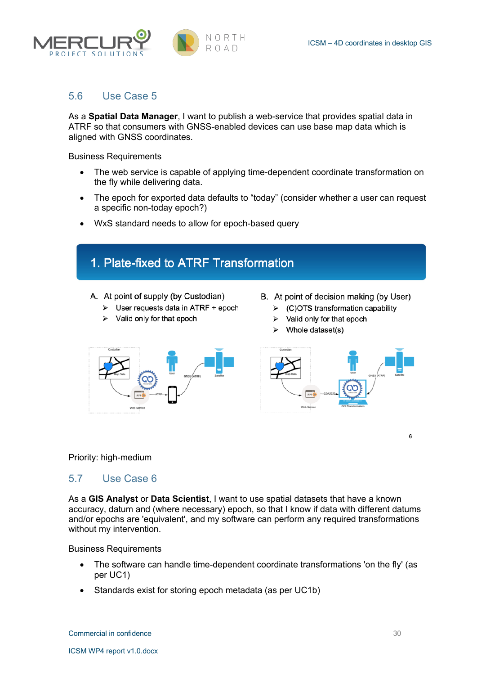



## 5.6 Use Case 5

As a **Spatial Data Manager**, I want to publish a web-service that provides spatial data in ATRF so that consumers with GNSS-enabled devices can use base map data which is aligned with GNSS coordinates.

Business Requirements

- The web service is capable of applying time-dependent coordinate transformation on the fly while delivering data.
- The epoch for exported data defaults to "today" (consider whether a user can request a specific non-today epoch?)
- WxS standard needs to allow for epoch-based query

## 1. Plate-fixed to ATRF Transformation

A. At point of supply (by Custodian)

- $\triangleright$  User requests data in ATRF + epoch
- $\triangleright$  Valid only for that epoch
- B. At point of decision making (by User)
	- $\triangleright$  (C)OTS transformation capability
	- $\triangleright$  Valid only for that epoch
	- $\triangleright$  Whole dataset(s)





#### Priority: high-medium

## 5.7 Use Case 6

As a **GIS Analyst** or **Data Scientist**, I want to use spatial datasets that have a known accuracy, datum and (where necessary) epoch, so that I know if data with different datums and/or epochs are 'equivalent', and my software can perform any required transformations without my intervention.

Business Requirements

- The software can handle time-dependent coordinate transformations 'on the fly' (as per UC1)
- Standards exist for storing epoch metadata (as per UC1b)

6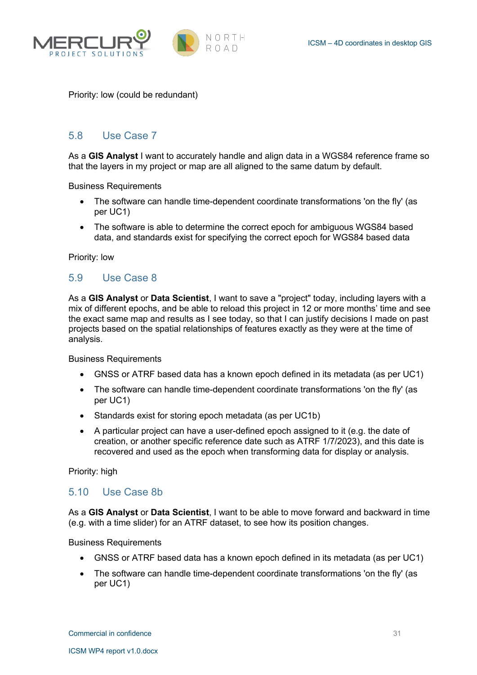



Priority: low (could be redundant)

## 5.8 Use Case 7

As a **GIS Analyst** I want to accurately handle and align data in a WGS84 reference frame so that the layers in my project or map are all aligned to the same datum by default.

Business Requirements

- The software can handle time-dependent coordinate transformations 'on the fly' (as per UC1)
- The software is able to determine the correct epoch for ambiguous WGS84 based data, and standards exist for specifying the correct epoch for WGS84 based data

Priority: low

## 5.9 Use Case 8

As a **GIS Analyst** or **Data Scientist**, I want to save a "project" today, including layers with a mix of different epochs, and be able to reload this project in 12 or more months' time and see the exact same map and results as I see today, so that I can justify decisions I made on past projects based on the spatial relationships of features exactly as they were at the time of analysis.

Business Requirements

- GNSS or ATRF based data has a known epoch defined in its metadata (as per UC1)
- The software can handle time-dependent coordinate transformations 'on the fly' (as per UC1)
- Standards exist for storing epoch metadata (as per UC1b)
- A particular project can have a user-defined epoch assigned to it (e.g. the date of creation, or another specific reference date such as ATRF 1/7/2023), and this date is recovered and used as the epoch when transforming data for display or analysis.

Priority: high

#### 5.10 Use Case 8b

As a **GIS Analyst** or **Data Scientist**, I want to be able to move forward and backward in time (e.g. with a time slider) for an ATRF dataset, to see how its position changes.

Business Requirements

- GNSS or ATRF based data has a known epoch defined in its metadata (as per UC1)
- The software can handle time-dependent coordinate transformations 'on the fly' (as per UC1)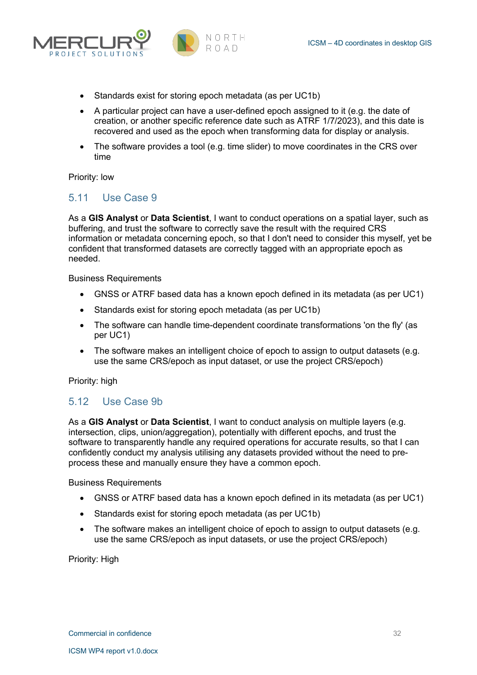



- Standards exist for storing epoch metadata (as per UC1b)
- A particular project can have a user-defined epoch assigned to it (e.g. the date of creation, or another specific reference date such as ATRF 1/7/2023), and this date is recovered and used as the epoch when transforming data for display or analysis.
- The software provides a tool (e.g. time slider) to move coordinates in the CRS over time

Priority: low

#### 5.11 Use Case 9

As a **GIS Analyst** or **Data Scientist**, I want to conduct operations on a spatial layer, such as buffering, and trust the software to correctly save the result with the required CRS information or metadata concerning epoch, so that I don't need to consider this myself, yet be confident that transformed datasets are correctly tagged with an appropriate epoch as needed.

Business Requirements

- GNSS or ATRF based data has a known epoch defined in its metadata (as per UC1)
- Standards exist for storing epoch metadata (as per UC1b)
- The software can handle time-dependent coordinate transformations 'on the fly' (as per UC1)
- The software makes an intelligent choice of epoch to assign to output datasets (e.g. use the same CRS/epoch as input dataset, or use the project CRS/epoch)

Priority: high

## 5.12 Use Case 9b

As a **GIS Analyst** or **Data Scientist**, I want to conduct analysis on multiple layers (e.g. intersection, clips, union/aggregation), potentially with different epochs, and trust the software to transparently handle any required operations for accurate results, so that I can confidently conduct my analysis utilising any datasets provided without the need to preprocess these and manually ensure they have a common epoch.

Business Requirements

- GNSS or ATRF based data has a known epoch defined in its metadata (as per UC1)
- Standards exist for storing epoch metadata (as per UC1b)
- The software makes an intelligent choice of epoch to assign to output datasets (e.g. use the same CRS/epoch as input datasets, or use the project CRS/epoch)

Priority: High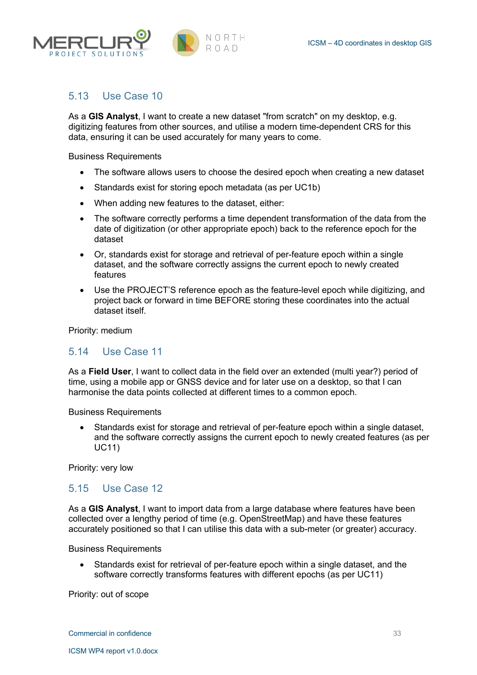



## 5.13 Use Case 10

As a **GIS Analyst**, I want to create a new dataset "from scratch" on my desktop, e.g. digitizing features from other sources, and utilise a modern time-dependent CRS for this data, ensuring it can be used accurately for many years to come.

Business Requirements

- The software allows users to choose the desired epoch when creating a new dataset
- Standards exist for storing epoch metadata (as per UC1b)
- When adding new features to the dataset, either:
- The software correctly performs a time dependent transformation of the data from the date of digitization (or other appropriate epoch) back to the reference epoch for the dataset
- Or, standards exist for storage and retrieval of per-feature epoch within a single dataset, and the software correctly assigns the current epoch to newly created features
- Use the PROJECT'S reference epoch as the feature-level epoch while digitizing, and project back or forward in time BEFORE storing these coordinates into the actual dataset itself.

Priority: medium

#### 5.14 Use Case 11

As a **Field User**, I want to collect data in the field over an extended (multi year?) period of time, using a mobile app or GNSS device and for later use on a desktop, so that I can harmonise the data points collected at different times to a common epoch.

Business Requirements

• Standards exist for storage and retrieval of per-feature epoch within a single dataset, and the software correctly assigns the current epoch to newly created features (as per UC11)

Priority: very low

#### 5.15 Use Case 12

As a **GIS Analyst**, I want to import data from a large database where features have been collected over a lengthy period of time (e.g. OpenStreetMap) and have these features accurately positioned so that I can utilise this data with a sub-meter (or greater) accuracy.

Business Requirements

• Standards exist for retrieval of per-feature epoch within a single dataset, and the software correctly transforms features with different epochs (as per UC11)

Priority: out of scope

Commercial in confidence 33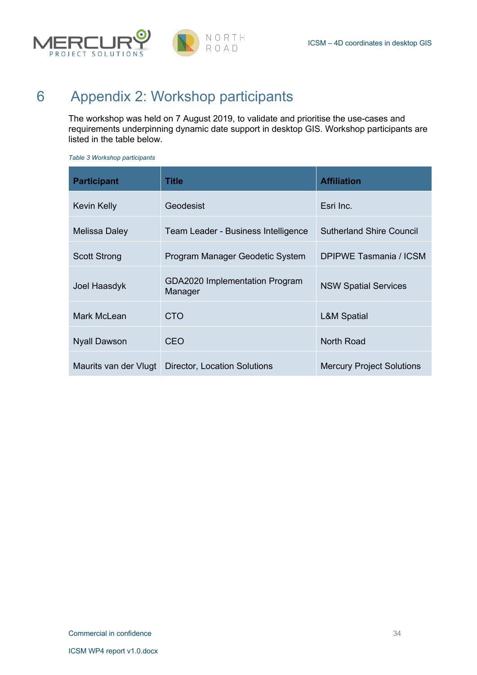

# 6 Appendix 2: Workshop participants

The workshop was held on 7 August 2019, to validate and prioritise the use-cases and requirements underpinning dynamic date support in desktop GIS. Workshop participants are listed in the table below.

*Table 3 Workshop participants*

| <b>Participant</b>    | Title                                     | <b>Affiliation</b>               |
|-----------------------|-------------------------------------------|----------------------------------|
| Kevin Kelly           | Geodesist                                 | Esri Inc.                        |
| Melissa Daley         | Team Leader - Business Intelligence       | <b>Sutherland Shire Council</b>  |
| <b>Scott Strong</b>   | Program Manager Geodetic System           | DPIPWE Tasmania / ICSM           |
| Joel Haasdyk          | GDA2020 Implementation Program<br>Manager | <b>NSW Spatial Services</b>      |
| Mark McLean           | <b>CTO</b>                                | <b>L&amp;M Spatial</b>           |
| <b>Nyall Dawson</b>   | <b>CEO</b>                                | <b>North Road</b>                |
| Maurits van der Vlugt | Director, Location Solutions              | <b>Mercury Project Solutions</b> |